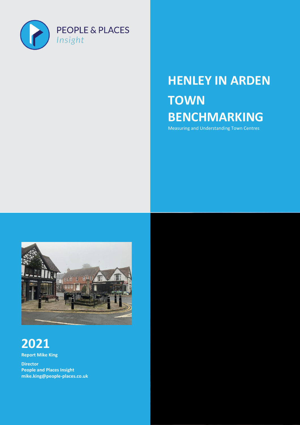

### **HENLEY IN ARDEN TOWN BENCHMARKING**

Measuring and Understanding Town Centres

Page | 1 People and Places Insight February 2022



### **2021**

**Report Mike King** 

**Director People and Places Insight [mike.king@people-places.co.uk](mailto:mike.king@people-places.co.uk)**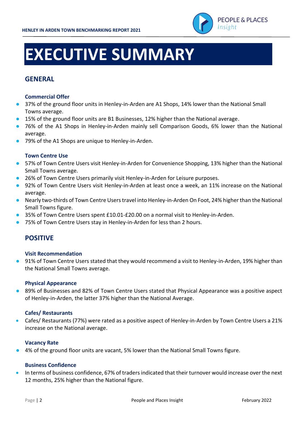

# **EXECUTIVE SUMMARY**

#### **GENERAL**

#### **Commercial Offer**

- 37% of the ground floor units in Henley-in-Arden are A1 Shops, 14% lower than the National Small Towns average.
- 15% of the ground floor units are B1 Businesses, 12% higher than the National average.
- 76% of the A1 Shops in Henley-in-Arden mainly sell Comparison Goods, 6% lower than the National average.
- 79% of the A1 Shops are unique to Henley-in-Arden.

#### **Town Centre Use**

- 57% of Town Centre Users visit Henley-in-Arden for Convenience Shopping, 13% higher than the National Small Towns average.
- 26% of Town Centre Users primarily visit Henley-in-Arden for Leisure purposes.
- 92% of Town Centre Users visit Henley-in-Arden at least once a week, an 11% increase on the National average.
- Nearly two-thirds of Town Centre Users travel into Henley-in-Arden On Foot, 24% higher than the National Small Towns figure.
- 35% of Town Centre Users spent £10.01-£20.00 on a normal visit to Henley-in-Arden.
- 75% of Town Centre Users stay in Henley-in-Arden for less than 2 hours.

#### **POSITIVE**

#### **Visit Recommendation**

● 91% of Town Centre Users stated that they would recommend a visit to Henley-in-Arden, 19% higher than the National Small Towns average.

#### **Physical Appearance**

● 89% of Businesses and 82% of Town Centre Users stated that Physical Appearance was a positive aspect of Henley-in-Arden, the latter 37% higher than the National Average.

#### **Cafes/ Restaurants**

• Cafes/ Restaurants (77%) were rated as a positive aspect of Henley-in-Arden by Town Centre Users a 21% increase on the National average.

#### **Vacancy Rate**

● 4% of the ground floor units are vacant, 5% lower than the National Small Towns figure.

#### **Business Confidence**

• In terms of business confidence, 67% of traders indicated that their turnover would increase over the next 12 months, 25% higher than the National figure.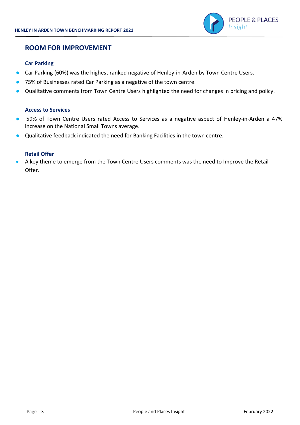

#### **ROOM FOR IMPROVEMENT**

#### **Car Parking**

- Car Parking (60%) was the highest ranked negative of Henley-in-Arden by Town Centre Users.
- 75% of Businesses rated Car Parking as a negative of the town centre.
- Qualitative comments from Town Centre Users highlighted the need for changes in pricing and policy.

#### **Access to Services**

- 59% of Town Centre Users rated Access to Services as a negative aspect of Henley-in-Arden a 47% increase on the National Small Towns average.
- Qualitative feedback indicated the need for Banking Facilities in the town centre.

#### **Retail Offer**

• A key theme to emerge from the Town Centre Users comments was the need to Improve the Retail Offer.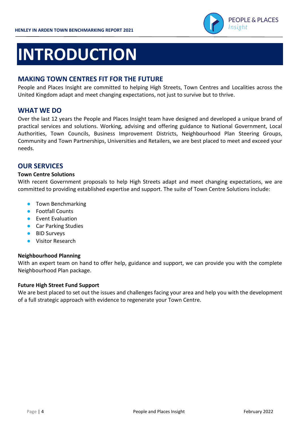

# **INTRODUCTION**

#### **MAKING TOWN CENTRES FIT FOR THE FUTURE**

People and Places Insight are committed to helping High Streets, Town Centres and Localities across the United Kingdom adapt and meet changing expectations, not just to survive but to thrive.

#### **WHAT WE DO**

Over the last 12 years the People and Places Insight team have designed and developed a unique brand of practical services and solutions. Working, advising and offering guidance to National Government, Local Authorities, Town Councils, Business Improvement Districts, Neighbourhood Plan Steering Groups, Community and Town Partnerships, Universities and Retailers, we are best placed to meet and exceed your needs.

#### **OUR SERVICES**

#### **Town Centre Solutions**

With recent Government proposals to help High Streets adapt and meet changing expectations, we are committed to providing established expertise and support. The suite of Town Centre Solutions include:

- Town Benchmarking
- Footfall Counts
- Event Evaluation
- Car Parking Studies
- BID Surveys
- Visitor Research

#### **Neighbourhood Planning**

With an expert team on hand to offer help, guidance and support, we can provide you with the complete Neighbourhood Plan package.

#### **Future High Street Fund Support**

We are best placed to set out the issues and challenges facing your area and help you with the development of a full strategic approach with evidence to regenerate your Town Centre.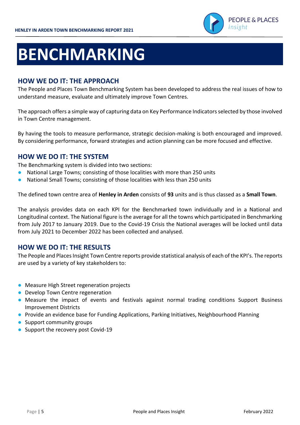

## **BENCHMARKING**

#### **HOW WE DO IT: THE APPROACH**

The People and Places Town Benchmarking System has been developed to address the real issues of how to understand measure, evaluate and ultimately improve Town Centres.

The approach offers a simple way of capturing data on Key Performance Indicators selected by those involved in Town Centre management.

By having the tools to measure performance, strategic decision-making is both encouraged and improved. By considering performance, forward strategies and action planning can be more focused and effective.

#### **HOW WE DO IT: THE SYSTEM**

The Benchmarking system is divided into two sections:

- National Large Towns; consisting of those localities with more than 250 units
- National Small Towns; consisting of those localities with less than 250 units

The defined town centre area of **Henley in Arden** consists of **93** units and is thus classed as a **Small Town**.

The analysis provides data on each KPI for the Benchmarked town individually and in a National and Longitudinal context. The National figure is the average for all the towns which participated in Benchmarking from July 2017 to January 2019. Due to the Covid-19 Crisis the National averages will be locked until data from July 2021 to December 2022 has been collected and analysed.

#### **HOW WE DO IT: THE RESULTS**

The People and Places Insight Town Centre reports provide statistical analysis of each of the KPI's. The reports are used by a variety of key stakeholders to:

- Measure High Street regeneration projects
- Develop Town Centre regeneration
- Measure the impact of events and festivals against normal trading conditions Support Business Improvement Districts
- Provide an evidence base for Funding Applications, Parking Initiatives, Neighbourhood Planning
- Support community groups
- Support the recovery post Covid-19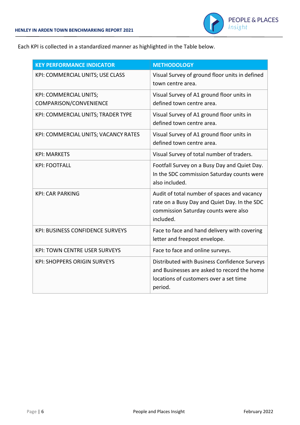

Each KPI is collected in a standardized manner as highlighted in the Table below.

| <b>KEY PERFORMANCE INDICATOR</b>                        | <b>METHODOLOGY</b>                                                                                                                               |
|---------------------------------------------------------|--------------------------------------------------------------------------------------------------------------------------------------------------|
| KPI: COMMERCIAL UNITS; USE CLASS                        | Visual Survey of ground floor units in defined<br>town centre area.                                                                              |
| <b>KPI: COMMERCIAL UNITS;</b><br>COMPARISON/CONVENIENCE | Visual Survey of A1 ground floor units in<br>defined town centre area.                                                                           |
| KPI: COMMERCIAL UNITS; TRADER TYPE                      | Visual Survey of A1 ground floor units in<br>defined town centre area.                                                                           |
| KPI: COMMERCIAL UNITS; VACANCY RATES                    | Visual Survey of A1 ground floor units in<br>defined town centre area.                                                                           |
| <b>KPI: MARKETS</b>                                     | Visual Survey of total number of traders.                                                                                                        |
| <b>KPI: FOOTFALL</b>                                    | Footfall Survey on a Busy Day and Quiet Day.<br>In the SDC commission Saturday counts were<br>also included.                                     |
| <b>KPI: CAR PARKING</b>                                 | Audit of total number of spaces and vacancy<br>rate on a Busy Day and Quiet Day. In the SDC<br>commission Saturday counts were also<br>included. |
| <b>KPI: BUSINESS CONFIDENCE SURVEYS</b>                 | Face to face and hand delivery with covering<br>letter and freepost envelope.                                                                    |
| <b>KPI: TOWN CENTRE USER SURVEYS</b>                    | Face to face and online surveys.                                                                                                                 |
| <b>KPI: SHOPPERS ORIGIN SURVEYS</b>                     | Distributed with Business Confidence Surveys<br>and Businesses are asked to record the home<br>locations of customers over a set time<br>period. |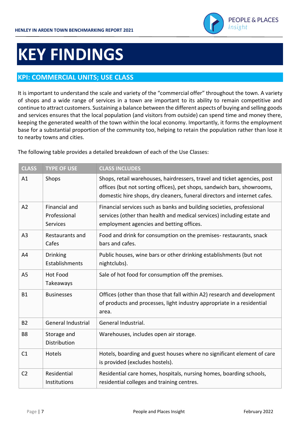

### **KEY FINDINGS**

#### **KPI: COMMERCIAL UNITS; USE CLASS**

It is important to understand the scale and variety of the "commercial offer" throughout the town. A variety of shops and a wide range of services in a town are important to its ability to remain competitive and continue to attract customers. Sustaining a balance between the different aspects of buying and selling goods and services ensures that the local population (and visitors from outside) can spend time and money there, keeping the generated wealth of the town within the local economy. Importantly, it forms the employment base for a substantial proportion of the community too, helping to retain the population rather than lose it to nearby towns and cities.

The following table provides a detailed breakdown of each of the Use Classes:

| <b>CLASS</b>   | <b>TYPE OF USE</b>                               | <b>CLASS INCLUDES</b>                                                                                                                                                                                                           |
|----------------|--------------------------------------------------|---------------------------------------------------------------------------------------------------------------------------------------------------------------------------------------------------------------------------------|
| A1             | Shops                                            | Shops, retail warehouses, hairdressers, travel and ticket agencies, post<br>offices (but not sorting offices), pet shops, sandwich bars, showrooms,<br>domestic hire shops, dry cleaners, funeral directors and internet cafes. |
| A2             | Financial and<br>Professional<br><b>Services</b> | Financial services such as banks and building societies, professional<br>services (other than health and medical services) including estate and<br>employment agencies and betting offices.                                     |
| A <sub>3</sub> | Restaurants and<br>Cafes                         | Food and drink for consumption on the premises- restaurants, snack<br>bars and cafes.                                                                                                                                           |
| A4             | <b>Drinking</b><br>Establishments                | Public houses, wine bars or other drinking establishments (but not<br>nightclubs).                                                                                                                                              |
| A <sub>5</sub> | <b>Hot Food</b><br>Takeaways                     | Sale of hot food for consumption off the premises.                                                                                                                                                                              |
| <b>B1</b>      | <b>Businesses</b>                                | Offices (other than those that fall within A2) research and development<br>of products and processes, light industry appropriate in a residential<br>area.                                                                      |
| <b>B2</b>      | General Industrial                               | General Industrial.                                                                                                                                                                                                             |
| B <sub>8</sub> | Storage and<br>Distribution                      | Warehouses, includes open air storage.                                                                                                                                                                                          |
| C1             | Hotels                                           | Hotels, boarding and guest houses where no significant element of care<br>is provided (excludes hostels).                                                                                                                       |
| C <sub>2</sub> | Residential<br>Institutions                      | Residential care homes, hospitals, nursing homes, boarding schools,<br>residential colleges and training centres.                                                                                                               |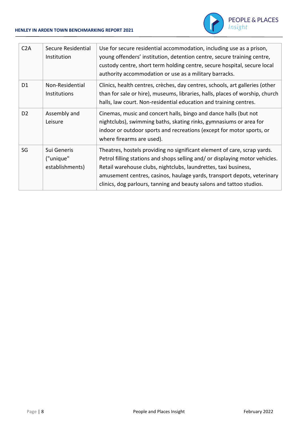

| C2A            | Secure Residential<br>Institution           | Use for secure residential accommodation, including use as a prison,<br>young offenders' institution, detention centre, secure training centre,<br>custody centre, short term holding centre, secure hospital, secure local<br>authority accommodation or use as a military barracks.                                                                                          |
|----------------|---------------------------------------------|--------------------------------------------------------------------------------------------------------------------------------------------------------------------------------------------------------------------------------------------------------------------------------------------------------------------------------------------------------------------------------|
| D <sub>1</sub> | Non-Residential<br>Institutions             | Clinics, health centres, crèches, day centres, schools, art galleries (other<br>than for sale or hire), museums, libraries, halls, places of worship, church<br>halls, law court. Non-residential education and training centres.                                                                                                                                              |
| D <sub>2</sub> | Assembly and<br>Leisure                     | Cinemas, music and concert halls, bingo and dance halls (but not<br>nightclubs), swimming baths, skating rinks, gymnasiums or area for<br>indoor or outdoor sports and recreations (except for motor sports, or<br>where firearms are used).                                                                                                                                   |
| SG             | Sui Generis<br>("unique"<br>establishments) | Theatres, hostels providing no significant element of care, scrap yards.<br>Petrol filling stations and shops selling and/ or displaying motor vehicles.<br>Retail warehouse clubs, nightclubs, laundrettes, taxi business,<br>amusement centres, casinos, haulage yards, transport depots, veterinary<br>clinics, dog parlours, tanning and beauty salons and tattoo studios. |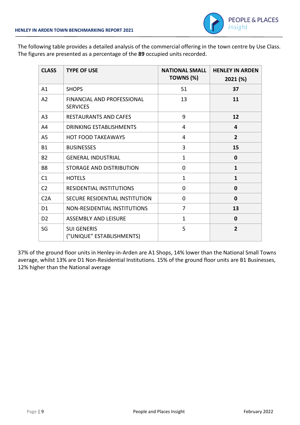

The following table provides a detailed analysis of the commercial offering in the town centre by Use Class. The figures are presented as a percentage of the **89** occupied units recorded.

| <b>CLASS</b>   | <b>TYPE OF USE</b>                              | <b>NATIONAL SMALL</b><br>TOWNS (%) | <b>HENLEY IN ARDEN</b><br>2021 (%) |
|----------------|-------------------------------------------------|------------------------------------|------------------------------------|
| A1             | <b>SHOPS</b>                                    | 51                                 | 37                                 |
| A <sub>2</sub> | FINANCIAL AND PROFESSIONAL<br><b>SERVICES</b>   | 13                                 | 11                                 |
| A <sub>3</sub> | <b>RESTAURANTS AND CAFES</b>                    | 9                                  | 12                                 |
| A4             | DRINKING ESTABLISHMENTS                         | 4                                  | 4                                  |
| A <sub>5</sub> | <b>HOT FOOD TAKEAWAYS</b>                       | 4                                  | $\overline{2}$                     |
| <b>B1</b>      | <b>BUSINESSES</b>                               | 3                                  | 15                                 |
| <b>B2</b>      | <b>GENERAL INDUSTRIAL</b>                       | $\mathbf{1}$                       | $\mathbf 0$                        |
| B <sub>8</sub> | STORAGE AND DISTRIBUTION                        | $\mathbf 0$                        | $\mathbf{1}$                       |
| C1             | <b>HOTELS</b>                                   | $\mathbf{1}$                       | $\mathbf{1}$                       |
| C <sub>2</sub> | <b>RESIDENTIAL INSTITUTIONS</b>                 | $\Omega$                           | $\mathbf 0$                        |
| C2A            | SECURE RESIDENTIAL INSTITUTION                  | $\Omega$                           | 0                                  |
| D <sub>1</sub> | NON-RESIDENTIAL INSTITUTIONS                    | 7                                  | 13                                 |
| D <sub>2</sub> | <b>ASSEMBLY AND LEISURE</b>                     | 1                                  | 0                                  |
| SG             | <b>SUI GENERIS</b><br>("UNIQUE" ESTABLISHMENTS) | 5                                  | $\overline{2}$                     |

37% of the ground floor units in Henley-in-Arden are A1 Shops, 14% lower than the National Small Towns average, whilst 13% are D1 Non-Residential Institutions. 15% of the ground floor units are B1 Businesses, 12% higher than the National average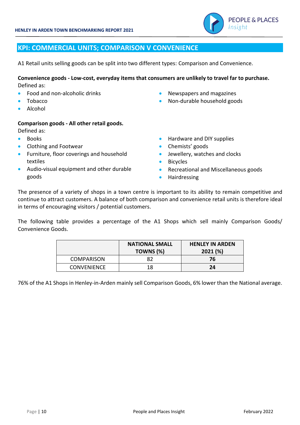

#### **KPI: COMMERCIAL UNITS; COMPARISON V CONVENIENCE**

A1 Retail units selling goods can be split into two different types: Comparison and Convenience.

#### **Convenience goods - Low-cost, everyday items that consumers are unlikely to travel far to purchase.**  Defined as:

- Food and non-alcoholic drinks
- Tobacco
- Alcohol

#### **Comparison goods - All other retail goods.**

- Defined as:
- Books
- Clothing and Footwear
- Furniture, floor coverings and household textiles
- Audio-visual equipment and other durable goods
- Newspapers and magazines
- Non-durable household goods
- Hardware and DIY supplies
- Chemists' goods
- Jewellery, watches and clocks
- Bicycles
- Recreational and Miscellaneous goods
- Hairdressing

The presence of a variety of shops in a town centre is important to its ability to remain competitive and continue to attract customers. A balance of both comparison and convenience retail units is therefore ideal in terms of encouraging visitors / potential customers.

The following table provides a percentage of the A1 Shops which sell mainly Comparison Goods/ Convenience Goods.

|                    | <b>NATIONAL SMALL</b> | <b>HENLEY IN ARDEN</b> |
|--------------------|-----------------------|------------------------|
|                    | TOWNS (%)             | 2021(%)                |
| <b>COMPARISON</b>  | 82                    | 76                     |
| <b>CONVENIENCE</b> | 18                    | 24                     |

76% of the A1 Shops in Henley-in-Arden mainly sell Comparison Goods, 6% lower than the National average.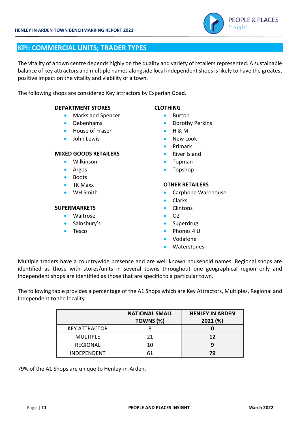

#### **KPI: COMMERCIAL UNITS; TRADER TYPES**

The vitality of a town centre depends highly on the quality and variety of retailers represented. A sustainable balance of key attractors and multiple names alongside local independent shops is likely to have the greatest positive impact on the vitality and viability of a town.

The following shops are considered Key attractors by Experian Goad.

#### **DEPARTMENT STORES CLOTHING**

- Marks and Spencer Burton
- 
- House of Fraser • H & M
- John Lewis  **New Look**

#### **MIXED GOODS RETAILERS** • River Island

- Wilkinson Topman
- 
- Boots
- 
- 

#### **SUPERMARKETS** • Clintons

- Waitrose 02
- Sainsbury's **•** Superdrug
- 

- 
- Debenhams Dorothy Perkins
	-
	-
	- Primark
	-
	-
- Argos Topshop

#### • TK Maxx **OTHER RETAILERS**

- WH Smith Carphone Warehouse
	- Clarks
	-
	-
	-
- Tesco Phones 4 U
	- Vodafone
	- Waterstones

Multiple traders have a countrywide presence and are well known household names. Regional shops are identified as those with stores/units in several towns throughout one geographical region only and Independent shops are identified as those that are specific to a particular town.

The following table provides a percentage of the A1 Shops which are Key Attractors, Multiples, Regional and Independent to the locality.

|                      | <b>NATIONAL SMALL</b> | <b>HENLEY IN ARDEN</b> |
|----------------------|-----------------------|------------------------|
|                      | TOWNS (%)             | 2021 (%)               |
| <b>KEY ATTRACTOR</b> |                       |                        |
| <b>MULTIPLE</b>      | 21                    | 12                     |
| REGIONAL             | 10                    |                        |
| <b>INDEPENDENT</b>   |                       | 79                     |

79% of the A1 Shops are unique to Henley-in-Arden.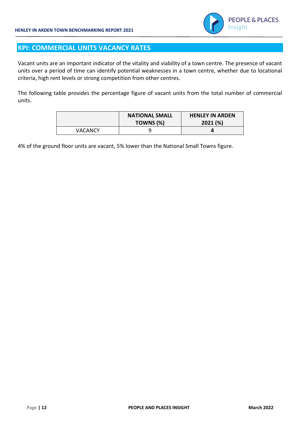

#### **KPI: COMMERCIAL UNITS VACANCY RATES**

Vacant units are an important indicator of the vitality and viability of a town centre. The presence of vacant units over a period of time can identify potential weaknesses in a town centre, whether due to locational criteria, high rent levels or strong competition from other centres.

The following table provides the percentage figure of vacant units from the total number of commercial units.

|                | <b>NATIONAL SMALL</b><br>TOWNS (%) | <b>HENLEY IN ARDEN</b><br>2021(%) |
|----------------|------------------------------------|-----------------------------------|
| <b>VACANCY</b> |                                    |                                   |

4% of the ground floor units are vacant, 5% lower than the National Small Towns figure.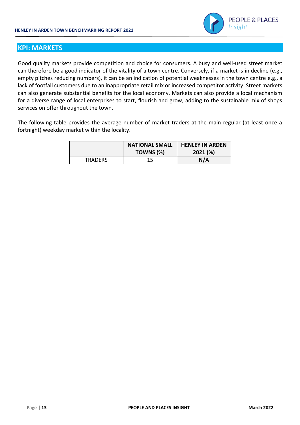

#### **KPI: MARKETS**

Good quality markets provide competition and choice for consumers. A busy and well-used street market can therefore be a good indicator of the vitality of a town centre. Conversely, if a market is in decline (e.g., empty pitches reducing numbers), it can be an indication of potential weaknesses in the town centre e.g., a lack of footfall customers due to an inappropriate retail mix or increased competitor activity. Street markets can also generate substantial benefits for the local economy. Markets can also provide a local mechanism for a diverse range of local enterprises to start, flourish and grow, adding to the sustainable mix of shops services on offer throughout the town.

The following table provides the average number of market traders at the main regular (at least once a fortnight) weekday market within the locality.

|                | <b>NATIONAL SMALL</b> | <b>HENLEY IN ARDEN</b> |
|----------------|-----------------------|------------------------|
|                | TOWNS (%)             | 2021 (%)               |
| <b>TRADERS</b> | 15                    | N/A                    |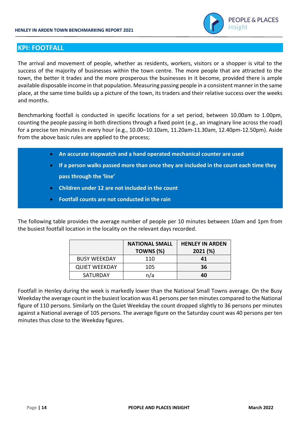

#### **KPI: FOOTFALL**

The arrival and movement of people, whether as residents, workers, visitors or a shopper is vital to the success of the majority of businesses within the town centre. The more people that are attracted to the town, the better it trades and the more prosperous the businesses in it become, provided there is ample available disposable income in that population. Measuring passing people in a consistent manner in the same place, at the same time builds up a picture of the town, its traders and their relative success over the weeks and months.

Benchmarking footfall is conducted in specific locations for a set period, between 10.00am to 1.00pm, counting the people passing in both directions through a fixed point (e.g., an imaginary line across the road) for a precise ten minutes in every hour (e.g., 10.00–10.10am, 11.20am-11.30am, 12.40pm-12.50pm). Aside from the above basic rules are applied to the process;

- **An accurate stopwatch and a hand operated mechanical counter are used**
- **If a person walks passed more than once they are included in the count each time they pass through the 'line'**
- **Children under 12 are not included in the count**
- **Footfall counts are not conducted in the rain**

The following table provides the average number of people per 10 minutes between 10am and 1pm from the busiest footfall location in the locality on the relevant days recorded.

|                      | <b>NATIONAL SMALL</b> | <b>HENLEY IN ARDEN</b> |
|----------------------|-----------------------|------------------------|
|                      | TOWNS (%)             | 2021 (%)               |
| <b>BUSY WEEKDAY</b>  | 110                   | 41                     |
| <b>QUIET WEEKDAY</b> | 105                   | 36                     |
| <b>SATURDAY</b>      | n/a                   | 40                     |

Footfall in Henley during the week is markedly lower than the National Small Towns average. On the Busy Weekday the average count in the busiest location was 41 persons per ten minutes compared to the National figure of 110 persons. Similarly on the Quiet Weekday the count dropped slightly to 36 persons per minutes against a National average of 105 persons. The average figure on the Saturday count was 40 persons per ten minutes thus close to the Weekday figures.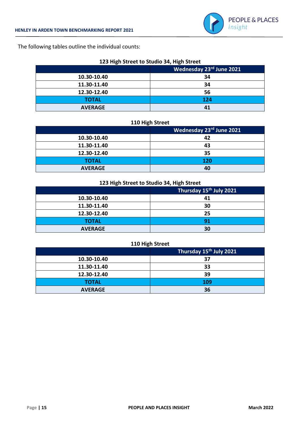

The following tables outline the individual counts:

| 123 High Street to Studio 34, High Street |  |
|-------------------------------------------|--|
|-------------------------------------------|--|

| -              |                          |
|----------------|--------------------------|
|                | Wednesday 23rd June 2021 |
| 10.30-10.40    | 34                       |
| 11.30-11.40    | 34                       |
| 12.30-12.40    | 56                       |
| <b>TOTAL</b>   | 124                      |
| <b>AVERAGE</b> | 41                       |

#### **110 High Street**

|                | Wednesday 23rd June 2021 |
|----------------|--------------------------|
| 10.30-10.40    | 42                       |
| 11.30-11.40    | 43                       |
| 12.30-12.40    | 35                       |
| <b>TOTAL</b>   | 120                      |
| <b>AVERAGE</b> | 40                       |

#### **123 High Street to Studio 34, High Street**

|                | Thursday 15 <sup>th</sup> July 2021 |
|----------------|-------------------------------------|
| 10.30-10.40    | 41                                  |
| 11.30-11.40    | 30                                  |
| 12.30-12.40    | 25                                  |
| <b>TOTAL</b>   | 91                                  |
| <b>AVERAGE</b> | 30                                  |

#### **110 High Street**

|                | Thursday 15 <sup>th</sup> July 2021 |  |
|----------------|-------------------------------------|--|
| 10.30-10.40    | 37                                  |  |
| 11.30-11.40    | 33                                  |  |
| 12.30-12.40    | 39                                  |  |
| <b>TOTAL</b>   | 109                                 |  |
| <b>AVERAGE</b> | 36                                  |  |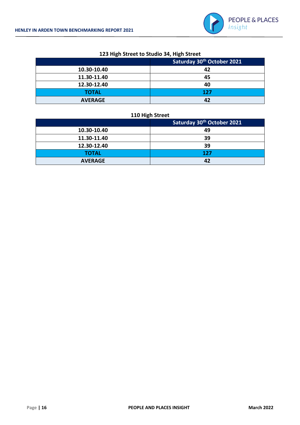

| $220$ , $n_{\rm B}$ , output to other of $\mu$ , $n_{\rm B}$ , output |     |  |
|-----------------------------------------------------------------------|-----|--|
| Saturday 30 <sup>th</sup> October 2021                                |     |  |
| 10.30-10.40                                                           | 42  |  |
| 11.30-11.40                                                           | 45  |  |
| 12.30-12.40                                                           | 40  |  |
| <b>TOTAL</b>                                                          | 127 |  |
| <b>AVERAGE</b>                                                        | 42  |  |

#### **123 High Street to Studio 34, High Street**

#### **110 High Street**

|                | Saturday 30 <sup>th</sup> October 2021 |  |
|----------------|----------------------------------------|--|
| 10.30-10.40    | 49                                     |  |
| 11.30-11.40    | 39                                     |  |
| 12.30-12.40    | 39                                     |  |
| <b>TOTAL</b>   | 127                                    |  |
| <b>AVERAGE</b> | 42                                     |  |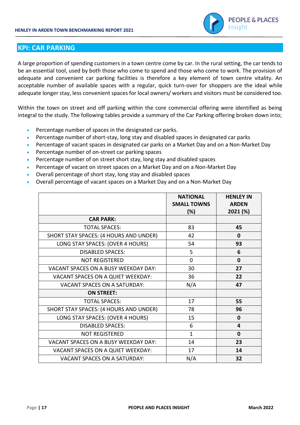

#### **KPI: CAR PARKING**

A large proportion of spending customers in a town centre come by car. In the rural setting, the car tends to be an essential tool, used by both those who come to spend and those who come to work. The provision of adequate and convenient car parking facilities is therefore a key element of town centre vitality. An acceptable number of available spaces with a regular, quick turn-over for shoppers are the ideal while adequate longer stay, less convenient spaces for local owners/ workers and visitors must be considered too.

Within the town on street and off parking within the core commercial offering were identified as being integral to the study. The following tables provide a summary of the Car Parking offering broken down into;

- Percentage number of spaces in the designated car parks.
- Percentage number of short-stay, long stay and disabled spaces in designated car parks
- Percentage of vacant spaces in designated car parks on a Market Day and on a Non-Market Day
- Percentage number of on-street car parking spaces
- Percentage number of on street short stay, long stay and disabled spaces
- Percentage of vacant on street spaces on a Market Day and on a Non-Market Day
- Overall percentage of short stay, long stay and disabled spaces
- Overall percentage of vacant spaces on a Market Day and on a Non-Market Day

|                                        | <b>NATIONAL</b><br><b>SMALL TOWNS</b> | <b>HENLEY IN</b><br><b>ARDEN</b> |
|----------------------------------------|---------------------------------------|----------------------------------|
|                                        | $(\%)$                                | 2021 (%)                         |
| <b>CAR PARK:</b>                       |                                       |                                  |
| <b>TOTAL SPACES:</b>                   | 83                                    | 45                               |
| SHORT STAY SPACES: (4 HOURS AND UNDER) | 42                                    | $\mathbf{0}$                     |
| LONG STAY SPACES: (OVER 4 HOURS)       | 54                                    | 93                               |
| <b>DISABLED SPACES:</b>                | 5                                     | 6                                |
| <b>NOT REGISTERED</b>                  | $\mathbf 0$                           | $\mathbf{0}$                     |
| VACANT SPACES ON A BUSY WEEKDAY DAY:   | 30                                    | 27                               |
| VACANT SPACES ON A QUIET WEEKDAY:      | 36                                    | 22                               |
| <b>VACANT SPACES ON A SATURDAY:</b>    | N/A                                   | 47                               |
| <b>ON STREET:</b>                      |                                       |                                  |
| <b>TOTAL SPACES:</b>                   | 17                                    | 55                               |
| SHORT STAY SPACES: (4 HOURS AND UNDER) | 78                                    | 96                               |
| LONG STAY SPACES: (OVER 4 HOURS)       | 15                                    | $\mathbf 0$                      |
| <b>DISABLED SPACES:</b>                | 6                                     | 4                                |
| <b>NOT REGISTERED</b>                  | $\mathbf{1}$                          | $\mathbf{0}$                     |
| VACANT SPACES ON A BUSY WEEKDAY DAY:   | 14                                    | 23                               |
| VACANT SPACES ON A QUIET WEEKDAY:      | 17                                    | 14                               |
| <b>VACANT SPACES ON A SATURDAY:</b>    | N/A                                   | 32                               |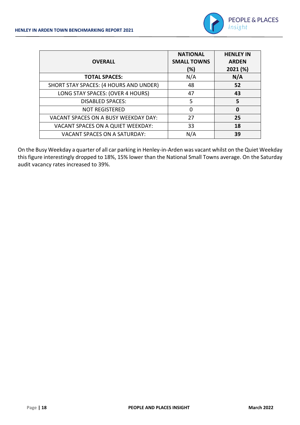

| <b>OVERALL</b>                         | <b>NATIONAL</b><br><b>SMALL TOWNS</b><br>(%) | <b>HENLEY IN</b><br><b>ARDEN</b><br>2021 (%) |
|----------------------------------------|----------------------------------------------|----------------------------------------------|
| <b>TOTAL SPACES:</b>                   | N/A                                          | N/A                                          |
| SHORT STAY SPACES: (4 HOURS AND UNDER) | 48                                           | 52                                           |
| LONG STAY SPACES: (OVER 4 HOURS)       | 47                                           | 43                                           |
| <b>DISABLED SPACES:</b>                | 5                                            | 5                                            |
| <b>NOT REGISTERED</b>                  | O                                            | 0                                            |
| VACANT SPACES ON A BUSY WEEKDAY DAY:   | 27                                           | 25                                           |
| VACANT SPACES ON A QUIET WEEKDAY:      | 33                                           | 18                                           |
| <b>VACANT SPACES ON A SATURDAY:</b>    | N/A                                          | 39                                           |

On the Busy Weekday a quarter of all car parking in Henley-in-Arden was vacant whilst on the Quiet Weekday this figure interestingly dropped to 18%, 15% lower than the National Small Towns average. On the Saturday audit vacancy rates increased to 39%.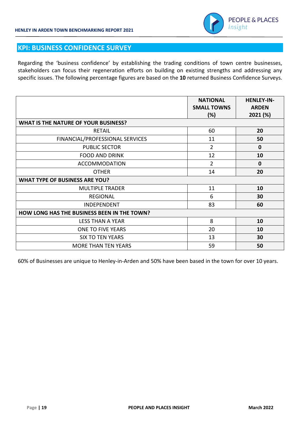

#### **KPI: BUSINESS CONFIDENCE SURVEY**

Regarding the 'business confidence' by establishing the trading conditions of town centre businesses, stakeholders can focus their regeneration efforts on building on existing strengths and addressing any specific issues. The following percentage figures are based on the **10** returned Business Confidence Surveys.

|                                             | <b>NATIONAL</b><br><b>SMALL TOWNS</b><br>(%) | <b>HENLEY-IN-</b><br><b>ARDEN</b><br>2021 (%) |
|---------------------------------------------|----------------------------------------------|-----------------------------------------------|
| <b>WHAT IS THE NATURE OF YOUR BUSINESS?</b> |                                              |                                               |
| <b>RETAIL</b>                               | 60                                           | 20                                            |
| FINANCIAL/PROFESSIONAL SERVICES             | 11                                           | 50                                            |
| <b>PUBLIC SECTOR</b>                        | $\overline{2}$                               | $\mathbf{0}$                                  |
| <b>FOOD AND DRINK</b>                       | 12                                           | 10                                            |
| <b>ACCOMMODATION</b>                        | $\overline{2}$                               | $\mathbf{0}$                                  |
| <b>OTHER</b>                                | 14                                           | 20                                            |
| <b>WHAT TYPE OF BUSINESS ARE YOU?</b>       |                                              |                                               |
| <b>MULTIPLE TRADER</b>                      | 11                                           | 10                                            |
| <b>REGIONAL</b>                             | 6                                            | 30                                            |
| INDEPENDENT                                 | 83                                           | 60                                            |
| HOW LONG HAS THE BUSINESS BEEN IN THE TOWN? |                                              |                                               |
| <b>LESS THAN A YEAR</b>                     | 8                                            | 10                                            |
| <b>ONE TO FIVE YEARS</b>                    | 20                                           | 10                                            |
| <b>SIX TO TEN YEARS</b>                     | 13                                           | 30                                            |
| <b>MORE THAN TEN YEARS</b>                  | 59                                           | 50                                            |

60% of Businesses are unique to Henley-in-Arden and 50% have been based in the town for over 10 years.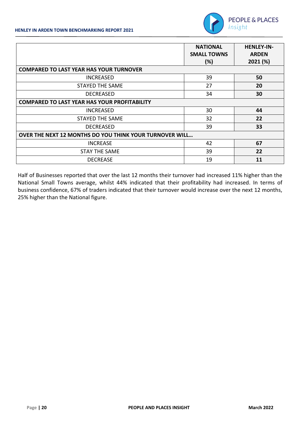

|                                                         | <b>NATIONAL</b><br><b>SMALL TOWNS</b><br>(%) | <b>HENLEY-IN-</b><br><b>ARDEN</b><br>2021 (%) |
|---------------------------------------------------------|----------------------------------------------|-----------------------------------------------|
| <b>COMPARED TO LAST YEAR HAS YOUR TURNOVER</b>          |                                              |                                               |
| <b>INCREASED</b>                                        | 39                                           | 50                                            |
| <b>STAYED THE SAME</b>                                  | 27                                           | 20                                            |
| <b>DECREASED</b>                                        | 34                                           | 30                                            |
| <b>COMPARED TO LAST YEAR HAS YOUR PROFITABILITY</b>     |                                              |                                               |
| <b>INCREASED</b>                                        | 30                                           | 44                                            |
| STAYED THE SAME                                         | 32                                           | 22                                            |
| <b>DECREASED</b>                                        | 39                                           | 33                                            |
| OVER THE NEXT 12 MONTHS DO YOU THINK YOUR TURNOVER WILL |                                              |                                               |
| <b>INCREASE</b>                                         | 42                                           | 67                                            |
| <b>STAY THE SAME</b>                                    | 39                                           | 22                                            |
| <b>DECREASE</b>                                         | 19                                           | 11                                            |

Half of Businesses reported that over the last 12 months their turnover had increased 11% higher than the National Small Towns average, whilst 44% indicated that their profitability had increased. In terms of business confidence, 67% of traders indicated that their turnover would increase over the next 12 months, 25% higher than the National figure.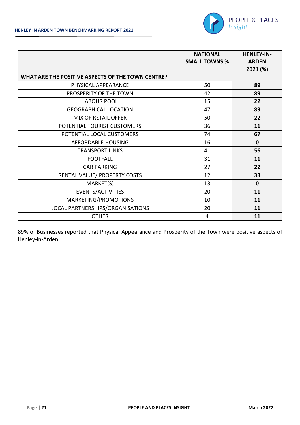

|                                                   | <b>NATIONAL</b>      | <b>HENLEY-IN-</b> |
|---------------------------------------------------|----------------------|-------------------|
|                                                   | <b>SMALL TOWNS %</b> | <b>ARDEN</b>      |
|                                                   |                      | 2021 (%)          |
| WHAT ARE THE POSITIVE ASPECTS OF THE TOWN CENTRE? |                      |                   |
| PHYSICAL APPEARANCE                               | 50                   | 89                |
| PROSPERITY OF THE TOWN                            | 42                   | 89                |
| <b>LABOUR POOL</b>                                | 15                   | 22                |
| <b>GEOGRAPHICAL LOCATION</b>                      | 47                   | 89                |
| MIX OF RETAIL OFFER                               | 50                   | 22                |
| POTENTIAL TOURIST CUSTOMERS                       | 36                   | 11                |
| POTENTIAL LOCAL CUSTOMERS                         | 74                   | 67                |
| <b>AFFORDABLE HOUSING</b>                         | 16                   | $\mathbf 0$       |
| <b>TRANSPORT LINKS</b>                            | 41                   | 56                |
| <b>FOOTFALL</b>                                   | 31                   | 11                |
| <b>CAR PARKING</b>                                | 27                   | 22                |
| RENTAL VALUE/ PROPERTY COSTS                      | 12                   | 33                |
| MARKET(S)                                         | 13                   | $\mathbf 0$       |
| EVENTS/ACTIVITIES                                 | 20                   | 11                |
| MARKETING/PROMOTIONS                              | 10                   | 11                |
| LOCAL PARTNERSHIPS/ORGANISATIONS                  | 20                   | 11                |
| <b>OTHER</b>                                      | 4                    | 11                |

89% of Businesses reported that Physical Appearance and Prosperity of the Town were positive aspects of Henley-in-Arden.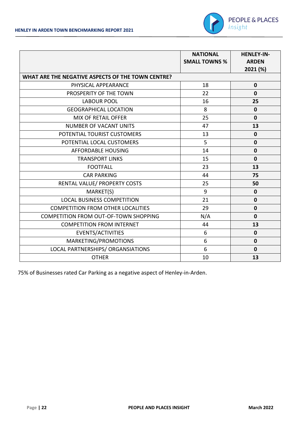

|                                                   | <b>NATIONAL</b>      | <b>HENLEY-IN-</b> |
|---------------------------------------------------|----------------------|-------------------|
|                                                   | <b>SMALL TOWNS %</b> | <b>ARDEN</b>      |
| WHAT ARE THE NEGATIVE ASPECTS OF THE TOWN CENTRE? |                      | 2021 (%)          |
|                                                   |                      |                   |
| PHYSICAL APPEARANCE                               | 18                   | $\mathbf 0$       |
| PROSPERITY OF THE TOWN                            | 22                   | $\mathbf{0}$      |
| <b>LABOUR POOL</b>                                | 16                   | 25                |
| <b>GEOGRAPHICAL LOCATION</b>                      | 8                    | $\mathbf 0$       |
| <b>MIX OF RETAIL OFFER</b>                        | 25                   | $\mathbf 0$       |
| <b>NUMBER OF VACANT UNITS</b>                     | 47                   | 13                |
| POTENTIAL TOURIST CUSTOMERS                       | 13                   | $\mathbf 0$       |
| POTENTIAL LOCAL CUSTOMERS                         | 5                    | $\bf{0}$          |
| <b>AFFORDABLE HOUSING</b>                         | 14                   | $\mathbf 0$       |
| <b>TRANSPORT LINKS</b>                            | 15                   | $\mathbf 0$       |
| <b>FOOTFALL</b>                                   | 23                   | 13                |
| <b>CAR PARKING</b>                                | 44                   | 75                |
| RENTAL VALUE/ PROPERTY COSTS                      | 25                   | 50                |
| MARKET(S)                                         | 9                    | $\mathbf 0$       |
| <b>LOCAL BUSINESS COMPETITION</b>                 | 21                   | $\mathbf 0$       |
| <b>COMPETITION FROM OTHER LOCALITIES</b>          | 29                   | $\mathbf 0$       |
| COMPETITION FROM OUT-OF-TOWN SHOPPING             | N/A                  | $\mathbf{0}$      |
| <b>COMPETITION FROM INTERNET</b>                  | 44                   | 13                |
| EVENTS/ACTIVITIES                                 | 6                    | $\mathbf 0$       |
| MARKETING/PROMOTIONS                              | 6                    | $\mathbf 0$       |
| LOCAL PARTNERSHIPS/ ORGANSIATIONS                 | 6                    | $\mathbf 0$       |
| <b>OTHER</b>                                      | 10                   | 13                |

75% of Businesses rated Car Parking as a negative aspect of Henley-in-Arden.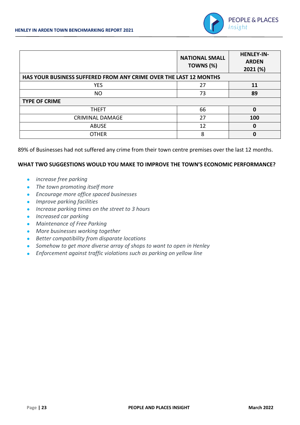

|                                                                   | <b>NATIONAL SMALL</b><br>TOWNS (%) | <b>HENLEY-IN-</b><br><b>ARDEN</b><br>2021 (%) |
|-------------------------------------------------------------------|------------------------------------|-----------------------------------------------|
| HAS YOUR BUSINESS SUFFERED FROM ANY CRIME OVER THE LAST 12 MONTHS |                                    |                                               |
| <b>YES</b>                                                        | 27                                 | 11                                            |
| <b>NO</b>                                                         | 73                                 | 89                                            |
| <b>TYPE OF CRIME</b>                                              |                                    |                                               |
| <b>THEFT</b>                                                      | 66                                 | 0                                             |
| <b>CRIMINAL DAMAGE</b>                                            | 27                                 | 100                                           |
| <b>ABUSE</b>                                                      | 12                                 | 0                                             |
| <b>OTHER</b>                                                      | 8                                  | 0                                             |

89% of Businesses had not suffered any crime from their town centre premises over the last 12 months.

#### **WHAT TWO SUGGESTIONS WOULD YOU MAKE TO IMPROVE THE TOWN'S ECONOMIC PERFORMANCE?**

- *increase free parking*
- *The town promoting itself more*
- *Encourage more office spaced businesses*
- *Improve parking facilities*
- *Increase parking times on the street to 3 hours*
- *Increased car parking*
- *Maintenance of Free Parking*
- *More businesses working together*
- *Better compatibility from disparate locations*
- *Somehow to get more diverse array of shops to want to open in Henley*
- *Enforcement against traffic violations such as parking on yellow line*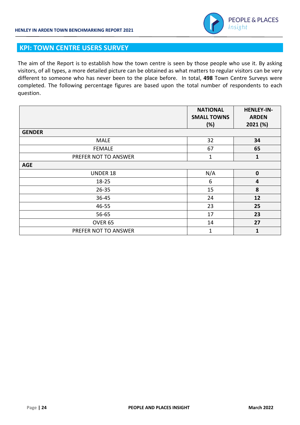

#### **KPI: TOWN CENTRE USERS SURVEY**

The aim of the Report is to establish how the town centre is seen by those people who use it. By asking visitors, of all types, a more detailed picture can be obtained as what matters to regular visitors can be very different to someone who has never been to the place before. In total, **498** Town Centre Surveys were completed. The following percentage figures are based upon the total number of respondents to each question.

|                      | <b>NATIONAL</b><br><b>SMALL TOWNS</b> | <b>HENLEY-IN-</b><br><b>ARDEN</b> |
|----------------------|---------------------------------------|-----------------------------------|
| <b>GENDER</b>        | (%)                                   | 2021 (%)                          |
| <b>MALE</b>          | 32                                    | 34                                |
| <b>FEMALE</b>        | 67                                    | 65                                |
| PREFER NOT TO ANSWER | $\mathbf{1}$                          | $\mathbf{1}$                      |
| <b>AGE</b>           |                                       |                                   |
| <b>UNDER 18</b>      | N/A                                   | $\mathbf 0$                       |
| 18-25                | 6                                     | 4                                 |
| $26 - 35$            | 15                                    | 8                                 |
| 36-45                | 24                                    | 12                                |
| 46-55                | 23                                    | 25                                |
| 56-65                | 17                                    | 23                                |
| OVER <sub>65</sub>   | 14                                    | 27                                |
| PREFER NOT TO ANSWER | $\mathbf{1}$                          | $\mathbf{1}$                      |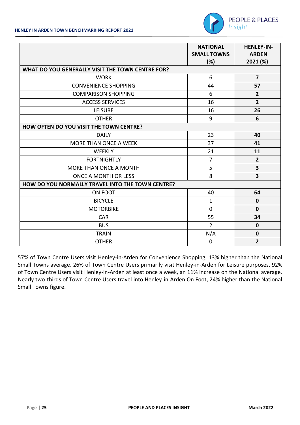

|                                                  | <b>NATIONAL</b><br><b>SMALL TOWNS</b><br>(%) | <b>HENLEY-IN-</b><br><b>ARDEN</b><br>2021 (%) |
|--------------------------------------------------|----------------------------------------------|-----------------------------------------------|
| WHAT DO YOU GENERALLY VISIT THE TOWN CENTRE FOR? |                                              |                                               |
| <b>WORK</b>                                      | 6                                            | $\overline{7}$                                |
| <b>CONVENIENCE SHOPPING</b>                      | 44                                           | 57                                            |
| <b>COMPARISON SHOPPING</b>                       | 6                                            | $\overline{2}$                                |
| <b>ACCESS SERVICES</b>                           | 16                                           | $\overline{2}$                                |
| <b>LEISURE</b>                                   | 16                                           | 26                                            |
| <b>OTHER</b>                                     | 9                                            | 6                                             |
| HOW OFTEN DO YOU VISIT THE TOWN CENTRE?          |                                              |                                               |
| <b>DAILY</b>                                     | 23                                           | 40                                            |
| MORE THAN ONCE A WEEK                            | 37                                           | 41                                            |
| <b>WEEKLY</b>                                    | 21                                           | 11                                            |
| <b>FORTNIGHTLY</b>                               | $\overline{7}$                               | $\overline{2}$                                |
| MORE THAN ONCE A MONTH                           | 5                                            | $\overline{\mathbf{3}}$                       |
| ONCE A MONTH OR LESS                             | 8                                            | $\overline{\mathbf{3}}$                       |
| HOW DO YOU NORMALLY TRAVEL INTO THE TOWN CENTRE? |                                              |                                               |
| ON FOOT                                          | 40                                           | 64                                            |
| <b>BICYCLE</b>                                   | $\mathbf{1}$                                 | $\mathbf 0$                                   |
| <b>MOTORBIKE</b>                                 | $\Omega$                                     | $\mathbf{0}$                                  |
| <b>CAR</b>                                       | 55                                           | 34                                            |
| <b>BUS</b>                                       | $\overline{2}$                               | $\mathbf 0$                                   |
| <b>TRAIN</b>                                     | N/A                                          | $\mathbf 0$                                   |
| <b>OTHER</b>                                     | $\mathbf 0$                                  | $\overline{2}$                                |

57% of Town Centre Users visit Henley-in-Arden for Convenience Shopping, 13% higher than the National Small Towns average. 26% of Town Centre Users primarily visit Henley-in-Arden for Leisure purposes. 92% of Town Centre Users visit Henley-in-Arden at least once a week, an 11% increase on the National average. Nearly two-thirds of Town Centre Users travel into Henley-in-Arden On Foot, 24% higher than the National Small Towns figure.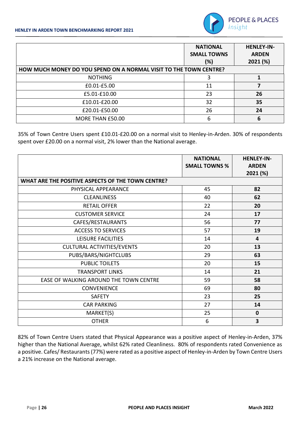

|                                                                   | <b>NATIONAL</b><br><b>SMALL TOWNS</b><br>(%) | <b>HENLEY-IN-</b><br><b>ARDEN</b><br>2021 (%) |
|-------------------------------------------------------------------|----------------------------------------------|-----------------------------------------------|
| HOW MUCH MONEY DO YOU SPEND ON A NORMAL VISIT TO THE TOWN CENTRE? |                                              |                                               |
| <b>NOTHING</b>                                                    | 3                                            |                                               |
| £0.01-£5.00                                                       | 11                                           |                                               |
| £5.01-£10.00                                                      | 23                                           | 26                                            |
| £10.01-£20.00                                                     | 32                                           | 35                                            |
| £20.01-£50.00                                                     | 26                                           | 24                                            |
| MORE THAN £50.00                                                  | 6                                            | 6                                             |

35% of Town Centre Users spent £10.01-£20.00 on a normal visit to Henley-in-Arden. 30% of respondents spent over £20.00 on a normal visit, 2% lower than the National average.

|                                                   | <b>NATIONAL</b><br><b>SMALL TOWNS %</b> | <b>HENLEY-IN-</b><br><b>ARDEN</b><br>2021 (%) |
|---------------------------------------------------|-----------------------------------------|-----------------------------------------------|
| WHAT ARE THE POSITIVE ASPECTS OF THE TOWN CENTRE? |                                         |                                               |
| PHYSICAL APPEARANCE                               | 45                                      | 82                                            |
| <b>CLEANLINESS</b>                                | 40                                      | 62                                            |
| <b>RETAIL OFFER</b>                               | 22                                      | 20                                            |
| <b>CUSTOMER SERVICE</b>                           | 24                                      | 17                                            |
| CAFES/RESTAURANTS                                 | 56                                      | 77                                            |
| <b>ACCESS TO SERVICES</b>                         | 57                                      | 19                                            |
| LEISURE FACILITIES                                | 14                                      | $\overline{4}$                                |
| <b>CULTURAL ACTIVITIES/EVENTS</b>                 | 20                                      | 13                                            |
| PUBS/BARS/NIGHTCLUBS                              | 29                                      | 63                                            |
| <b>PUBLIC TOILETS</b>                             | 20                                      | 15                                            |
| <b>TRANSPORT LINKS</b>                            | 14                                      | 21                                            |
| EASE OF WALKING AROUND THE TOWN CENTRE            | 59                                      | 58                                            |
| CONVENIENCE                                       | 69                                      | 80                                            |
| <b>SAFETY</b>                                     | 23                                      | 25                                            |
| <b>CAR PARKING</b>                                | 27                                      | 14                                            |
| MARKET(S)                                         | 25                                      | $\mathbf 0$                                   |
| <b>OTHER</b>                                      | 6                                       | 3                                             |

82% of Town Centre Users stated that Physical Appearance was a positive aspect of Henley-in-Arden, 37% higher than the National Average, whilst 62% rated Cleanliness. 80% of respondents rated Convenience as a positive. Cafes/ Restaurants (77%) were rated as a positive aspect of Henley-in-Arden by Town Centre Users a 21% increase on the National average.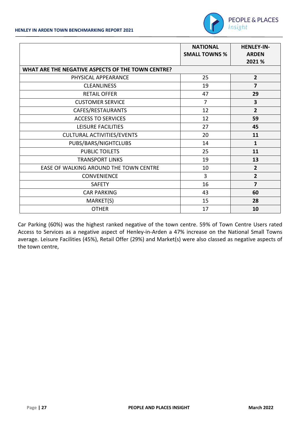

|                                                   | <b>NATIONAL</b><br><b>SMALL TOWNS %</b> | <b>HENLEY-IN-</b><br><b>ARDEN</b><br>2021 % |
|---------------------------------------------------|-----------------------------------------|---------------------------------------------|
| WHAT ARE THE NEGATIVE ASPECTS OF THE TOWN CENTRE? |                                         |                                             |
| PHYSICAL APPEARANCE                               | 25                                      | $\overline{2}$                              |
| <b>CLEANLINESS</b>                                | 19                                      | $\overline{7}$                              |
| <b>RETAIL OFFER</b>                               | 47                                      | 29                                          |
| <b>CUSTOMER SERVICE</b>                           | $\overline{7}$                          | 3                                           |
| CAFES/RESTAURANTS                                 | 12                                      | $\overline{2}$                              |
| <b>ACCESS TO SERVICES</b>                         | 12                                      | 59                                          |
| LEISURE FACILITIES                                | 27                                      | 45                                          |
| <b>CULTURAL ACTIVITIES/EVENTS</b>                 | 20                                      | 11                                          |
| PUBS/BARS/NIGHTCLUBS                              | 14                                      | $\mathbf{1}$                                |
| <b>PUBLIC TOILETS</b>                             | 25                                      | 11                                          |
| <b>TRANSPORT LINKS</b>                            | 19                                      | 13                                          |
| EASE OF WALKING AROUND THE TOWN CENTRE            | 10                                      | $\overline{2}$                              |
| <b>CONVENIENCE</b>                                | 3                                       | $\overline{2}$                              |
| <b>SAFETY</b>                                     | 16                                      | 7                                           |
| <b>CAR PARKING</b>                                | 43                                      | 60                                          |
| MARKET(S)                                         | 15                                      | 28                                          |
| <b>OTHER</b>                                      | 17                                      | 10                                          |

Car Parking (60%) was the highest ranked negative of the town centre. 59% of Town Centre Users rated Access to Services as a negative aspect of Henley-in-Arden a 47% increase on the National Small Towns average. Leisure Facilities (45%), Retail Offer (29%) and Market(s) were also classed as negative aspects of the town centre,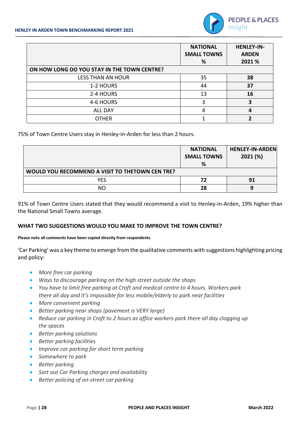

|                                             | <b>NATIONAL</b><br><b>SMALL TOWNS</b><br>℅ | <b>HENLEY-IN-</b><br><b>ARDEN</b><br>2021 % |
|---------------------------------------------|--------------------------------------------|---------------------------------------------|
| ON HOW LONG DO YOU STAY IN THE TOWN CENTRE? |                                            |                                             |
| <b>LESS THAN AN HOUR</b>                    | 35                                         | 38                                          |
| 1-2 HOURS                                   | 44                                         | 37                                          |
| 2-4 HOURS                                   | 13                                         | 16                                          |
| 4-6 HOURS                                   | 3                                          | 3                                           |
| <b>ALL DAY</b>                              | 4                                          | 4                                           |
| <b>OTHER</b>                                |                                            | ว                                           |

75% of Town Centre Users stay in Henley-in-Arden for less than 2 hours.

|                                                 | <b>NATIONAL</b><br><b>SMALL TOWNS</b><br>% | <b>HENLEY-IN-ARDEN</b><br>2021(%) |
|-------------------------------------------------|--------------------------------------------|-----------------------------------|
| WOULD YOU RECOMMEND A VISIT TO THETOWN CEN TRE? |                                            |                                   |
| <b>YES</b>                                      | 72                                         | 91                                |
| NС                                              | 28                                         |                                   |

91% of Town Centre Users stated that they would recommend a visit to Henley-in-Arden, 19% higher than the National Small Towns average.

#### **WHAT TWO SUGGESTIONS WOULD YOU MAKE TO IMPROVE THE TOWN CENTRE?**

#### **Please note all comments have been copied directly from respondents**

'Car Parking' was a key theme to emerge from the qualitative comments with suggestions highlighting pricing and policy:

- *More free car parking*
- *Ways to discourage parking on the high street outside the shops*
- *You have to limit free parking at Croft and medical centre to 4 hours. Workers park there all day and it's impossible for less mobile/elderly to park near facilities*
- *More convenient parking*
- *Better parking near shops (pavement is VERY large)*
- Reduce car parking in Croft to 2 hours as office workers park there all day clogging up *the spaces*
- *Better parking solutions*
- *Better parking facilities*
- *Improve car parking for short term parking*
- *Somewhere to park*
- *Better parking*
- *Sort out Car Parking charges and availability*
- *Better policing of on-street car parking*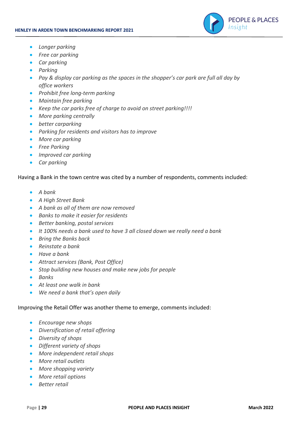

- *Longer parking*
- *Free car parking*
- *Car parking*
- *Parking*
- *Pay & display car parking as the spaces in the shopper's car park are full all day by office workers*
- *Prohibit free long-term parking*
- *Maintain free parking*
- *Keep the car parks free of charge to avoid on street parking!!!!*
- *More parking centrally*
- *better carparking*
- *Parking for residents and visitors has to improve*
- *More car parking*
- *Free Parking*
- *Improved car parking*
- *Car parking*

Having a Bank in the town centre was cited by a number of respondents, comments included:

- *A bank*
- *A High Street Bank*
- *A bank as all of them are now removed*
- *Banks to make it easier for residents*
- *Better banking, postal services*
- *It 100% needs a bank used to have 3 all closed down we really need a bank*
- *Bring the Banks back*
- *Reinstate a bank*
- *Have a bank*
- *Attract services (Bank, Post Office)*
- *Stop building new houses and make new jobs for people*
- *Banks*
- *At least one walk in bank*
- *We need a bank that's open daily*

#### Improving the Retail Offer was another theme to emerge, comments included:

- *Encourage new shops*
- *Diversification of retail offering*
- *Diversity of shops*
- *Different variety of shops*
- *More independent retail shops*
- *More retail outlets*
- *More shopping variety*
- *More retail options*
- *Better retail*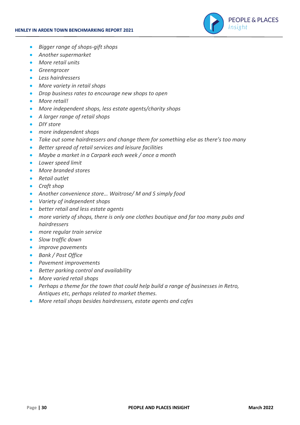

- *Bigger range of shops-gift shops*
- *Another supermarket*
- *More retail units*
- *Greengrocer*
- *Less hairdressers*
- *More variety in retail shops*
- *Drop business rates to encourage new shops to open*
- *More retail!*
- *More independent shops, less estate agents/charity shops*
- *A larger range of retail shops*
- *DIY store*
- *more independent shops*
- *Take out some hairdressers and change them for something else as there's too many*
- *Better spread of retail services and leisure facilities*
- *Maybe a market in a Carpark each week / once a month*
- *Lower speed limit*
- *More branded stores*
- *Retail outlet*
- *Craft shop*
- *Another convenience store… Waitrose/ M and S simply food*
- *Variety of independent shops*
- *better retail and less estate agents*
- *more variety of shops, there is only one clothes boutique and far too many pubs and hairdressers*
- *more regular train service*
- *Slow traffic down*
- *improve pavements*
- *Bank / Post Office*
- *Pavement improvements*
- *Better parking control and availability*
- *More varied retail shops*
- *Perhaps a theme for the town that could help build a range of businesses in Retro, Antiques etc, perhaps related to market themes.*
- *More retail shops besides hairdressers, estate agents and cafes*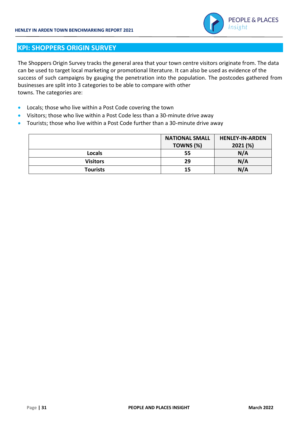

#### **KPI: SHOPPERS ORIGIN SURVEY**

The Shoppers Origin Survey tracks the general area that your town centre visitors originate from. The data can be used to target local marketing or promotional literature. It can also be used as evidence of the success of such campaigns by gauging the penetration into the population. The postcodes gathered from businesses are split into 3 categories to be able to compare with other towns. The categories are:

- Locals; those who live within a Post Code covering the town
- Visitors; those who live within a Post Code less than a 30-minute drive away
- Tourists; those who live within a Post Code further than a 30-minute drive away

|                 | <b>NATIONAL SMALL</b> | <b>HENLEY-IN-ARDEN</b> |
|-----------------|-----------------------|------------------------|
|                 | TOWNS (%)             | 2021 (%)               |
| <b>Locals</b>   | 55                    | N/A                    |
| <b>Visitors</b> | 29                    | N/A                    |
| <b>Tourists</b> | 15                    | N/A                    |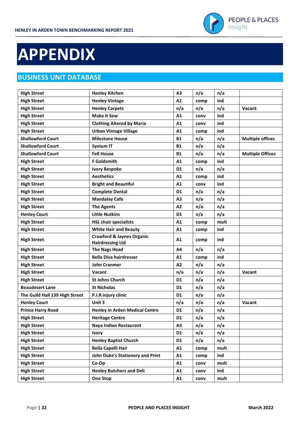

## **APPENDIX**

### **BUSINESS UNIT DATABASE**

| <b>High Street</b>             | <b>Henley Kitchen</b>                                           | A <sub>3</sub> | n/a  | n/a  |                         |
|--------------------------------|-----------------------------------------------------------------|----------------|------|------|-------------------------|
| <b>High Street</b>             | <b>Henley Vintage</b>                                           | A1             | comp | ind  |                         |
| <b>High Street</b>             | <b>Henley Carpets</b>                                           | n/a            | n/a  | n/a  | Vacant                  |
| <b>High Street</b>             | <b>Make it Sew</b>                                              | A1             | conv | ind  |                         |
| <b>High Street</b>             | <b>Clothing Altered by Maria</b>                                | A1             | conv | ind  |                         |
| <b>High Street</b>             | <b>Urban Vintage Village</b>                                    | A1             | comp | ind  |                         |
| <b>Shallowford Court</b>       | <b>Milestone House</b>                                          | <b>B1</b>      | n/a  | n/a  | <b>Multiple offices</b> |
| <b>Shallowford Court</b>       | <b>Synium IT</b>                                                | <b>B1</b>      | n/a  | n/a  |                         |
| <b>Shallowford Court</b>       | <b>Fell House</b>                                               | <b>B1</b>      | n/a  | n/a  | <b>Multiple Offices</b> |
| <b>High Street</b>             | <b>F</b> Goldsmith                                              | A1             | comp | ind  |                         |
| <b>High Street</b>             | <b>Ivory Bespoke</b>                                            | D <sub>1</sub> | n/a  | n/a  |                         |
| <b>High Street</b>             | <b>Aesthetics</b>                                               | A1             | comp | ind  |                         |
| <b>High Street</b>             | <b>Bright and Beautiful</b>                                     | A1             | conv | ind  |                         |
| <b>High Street</b>             | <b>Complete Dental</b>                                          | D <sub>1</sub> | n/a  | n/a  |                         |
| <b>High Street</b>             | <b>Mandalay Cafe</b>                                            | A <sub>3</sub> | n/a  | n/a  |                         |
| <b>High Street</b>             | <b>The Agents</b>                                               | A <sub>2</sub> | n/a  | n/a  |                         |
| <b>Henley Court</b>            | <b>Little Nutkins</b>                                           | D <sub>1</sub> | n/a  | n/a  |                         |
| <b>High Street</b>             | <b>HSL chair specialists</b>                                    | A1             | comp | mult |                         |
| <b>High Street</b>             | <b>White Hair and Beauty</b>                                    | A1             | comp | ind  |                         |
| <b>High Street</b>             | <b>Crawford &amp; Jaynes Organic</b><br><b>Hairdressing Ltd</b> | A1             | comp | ind  |                         |
| <b>High Street</b>             | <b>The Nags Head</b>                                            | A4             | n/a  | n/a  |                         |
| <b>High Street</b>             | <b>Bella Diva hairdresser</b>                                   | A1             | comp | ind  |                         |
| <b>High Street</b>             | <b>John Cranmer</b>                                             | A2             | n/a  | n/a  |                         |
| <b>High Street</b>             | Vacant                                                          | n/a            | n/a  | n/a  | Vacant                  |
| <b>High Street</b>             | <b>St Johns Church</b>                                          | D <sub>1</sub> | n/a  | n/a  |                         |
| <b>Beaudesert Lane</b>         | <b>St Nicholas</b>                                              | D <sub>1</sub> | n/a  | n/a  |                         |
| The Guild Hall 139 High Street | P.I.R injury clinic                                             | D <sub>1</sub> | n/a  | n/a  |                         |
| <b>Henley Court</b>            | Unit 3                                                          | n/a            | n/a  | n/a  | Vacant                  |
| <b>Prince Harry Road</b>       | <b>Henley in Arden Medical Centre</b>                           | D <sub>1</sub> | n/a  | n/a  |                         |
| <b>High Street</b>             | <b>Heritage Centre</b>                                          | D <sub>1</sub> | n/a  | n/a  |                         |
| <b>High Street</b>             | Naya Indian Restaurant                                          | A3             | n/a  | n/a  |                         |
| <b>High Street</b>             | <b>Ivory</b>                                                    | D1             | n/a  | n/a  |                         |
| <b>High Street</b>             | <b>Henley Baptist Church</b>                                    | D1             | n/a  | n/a  |                         |
| <b>High Street</b>             | <b>Bella Capelli Hair</b>                                       | A1             | comp | mult |                         |
| <b>High Street</b>             | John Duke's Stationery and Print                                | A1             | comp | ind  |                         |
| <b>High Street</b>             | Co-Op                                                           | A1             | conv | mult |                         |
| <b>High Street</b>             | <b>Henley Butchers and Deli</b>                                 | A1             | conv | ind  |                         |
| <b>High Street</b>             | <b>One Stop</b>                                                 | A1             | conv | mult |                         |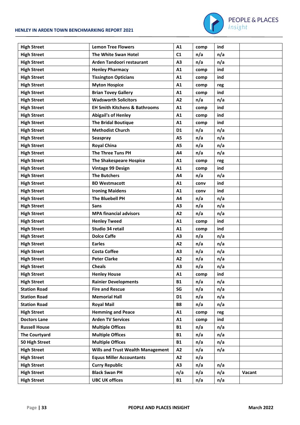#### **HENLEY IN ARDEN TOWN BENCHMARKING REPORT 2021**



| <b>High Street</b>   | <b>Lemon Tree Flowers</b>                | A1             | comp | ind |        |
|----------------------|------------------------------------------|----------------|------|-----|--------|
| <b>High Street</b>   | The White Swan Hotel                     | C1             | n/a  | n/a |        |
| <b>High Street</b>   | Arden Tandoori restaurant                | A <sub>3</sub> | n/a  | n/a |        |
| <b>High Street</b>   | <b>Henley Pharmacy</b>                   | A1             | comp | ind |        |
| <b>High Street</b>   | <b>Tissington Opticians</b>              | A1             | comp | ind |        |
| <b>High Street</b>   | <b>Myton Hospice</b>                     | A1             |      |     |        |
|                      | <b>Brian Tovey Gallery</b>               | A1             | comp | reg |        |
| <b>High Street</b>   | <b>Wadsworth Solicitors</b>              | A2             | comp | ind |        |
| <b>High Street</b>   |                                          |                | n/a  | n/a |        |
| <b>High Street</b>   | <b>EH Smith Kitchens &amp; Bathrooms</b> | A1             | comp | ind |        |
| <b>High Street</b>   | <b>Abigail's of Henley</b>               | A1             | comp | ind |        |
| <b>High Street</b>   | <b>The Bridal Boutique</b>               | A1             | comp | ind |        |
| <b>High Street</b>   | <b>Methodist Church</b>                  | D <sub>1</sub> | n/a  | n/a |        |
| <b>High Street</b>   | Seaspray                                 | <b>A5</b>      | n/a  | n/a |        |
| <b>High Street</b>   | <b>Royal China</b>                       | A <sub>5</sub> | n/a  | n/a |        |
| <b>High Street</b>   | The Three Tuns PH                        | A4             | n/a  | n/a |        |
| <b>High Street</b>   | <b>The Shakespeare Hospice</b>           | A1             | comp | reg |        |
| <b>High Street</b>   | Vintage 99 Design                        | A1             | comp | ind |        |
| <b>High Street</b>   | <b>The Butchers</b>                      | A4             | n/a  | n/a |        |
| <b>High Street</b>   | <b>BD Westmacott</b>                     | A1             | conv | ind |        |
| <b>High Street</b>   | <b>Ironing Maidens</b>                   | A1             | conv | ind |        |
| <b>High Street</b>   | <b>The Bluebell PH</b>                   | A4             | n/a  | n/a |        |
| <b>High Street</b>   | <b>Sans</b>                              | A <sub>3</sub> | n/a  | n/a |        |
| <b>High Street</b>   | <b>MPA financial advisors</b>            | A2             | n/a  | n/a |        |
| <b>High Street</b>   | <b>Henley Tweed</b>                      | A1             | comp | ind |        |
| <b>High Street</b>   | Studio 34 retail                         | A1             | comp | ind |        |
| <b>High Street</b>   | <b>Dolce Caffe</b>                       | A3             | n/a  | n/a |        |
| <b>High Street</b>   | <b>Earles</b>                            | A2             | n/a  | n/a |        |
| <b>High Street</b>   | <b>Costa Coffee</b>                      | A <sub>3</sub> | n/a  | n/a |        |
| <b>High Street</b>   | <b>Peter Clarke</b>                      | A <sub>2</sub> | n/a  | n/a |        |
| <b>High Street</b>   | <b>Cheals</b>                            | A3             | n/a  | n/a |        |
| <b>High Street</b>   | <b>Henley House</b>                      | A1             | comp | ind |        |
| <b>High Street</b>   | <b>Rainier Developments</b>              | <b>B1</b>      | n/a  | n/a |        |
| <b>Station Road</b>  | <b>Fire and Rescue</b>                   | SG             | n/a  | n/a |        |
| <b>Station Road</b>  | <b>Memorial Hall</b>                     | D <sub>1</sub> | n/a  | n/a |        |
| <b>Station Road</b>  | <b>Royal Mail</b>                        | <b>B8</b>      | n/a  | n/a |        |
| <b>High Street</b>   | <b>Hemming and Peace</b>                 | A1             | comp | reg |        |
| <b>Doctors Lane</b>  | <b>Arden TV Services</b>                 | A1             | comp | ind |        |
| <b>Russell House</b> | <b>Multiple Offices</b>                  | <b>B1</b>      | n/a  | n/a |        |
| <b>The Courtyard</b> | <b>Multiple Offices</b>                  | <b>B1</b>      | n/a  | n/a |        |
| 50 High Street       | <b>Multiple Offices</b>                  | <b>B1</b>      | n/a  | n/a |        |
| <b>High Street</b>   | <b>Wills and Trust Wealth Management</b> | A2             | n/a  | n/a |        |
| <b>High Street</b>   | <b>Equus Miller Accountants</b>          | A <sub>2</sub> | n/a  |     |        |
| <b>High Street</b>   | <b>Curry Republic</b>                    | A <sub>3</sub> | n/a  | n/a |        |
| <b>High Street</b>   | <b>Black Swan PH</b>                     | n/a            | n/a  | n/a | Vacant |
| <b>High Street</b>   | <b>UBC UK offices</b>                    | <b>B1</b>      | n/a  | n/a |        |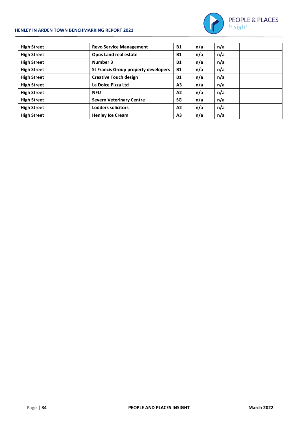#### **HENLEY IN ARDEN TOWN BENCHMARKING REPORT 2021**



| <b>High Street</b> | <b>Revo Service Management</b>              | <b>B1</b>      | n/a | n/a |  |
|--------------------|---------------------------------------------|----------------|-----|-----|--|
| <b>High Street</b> | <b>Opus Land real estate</b>                | <b>B1</b>      | n/a | n/a |  |
| <b>High Street</b> | Number 3                                    | <b>B1</b>      | n/a | n/a |  |
| <b>High Street</b> | <b>St Francis Group property developers</b> | <b>B1</b>      | n/a | n/a |  |
| <b>High Street</b> | <b>Creative Touch design</b>                | <b>B1</b>      | n/a | n/a |  |
| <b>High Street</b> | La Dolce Pizza Ltd                          | A <sub>3</sub> | n/a | n/a |  |
| <b>High Street</b> | <b>NFU</b>                                  | A2             | n/a | n/a |  |
| <b>High Street</b> | <b>Severn Veterinary Centre</b>             | SG             | n/a | n/a |  |
| <b>High Street</b> | Lodders solicitors                          | A2             | n/a | n/a |  |
| <b>High Street</b> | <b>Henley Ice Cream</b>                     | A <sub>3</sub> | n/a | n/a |  |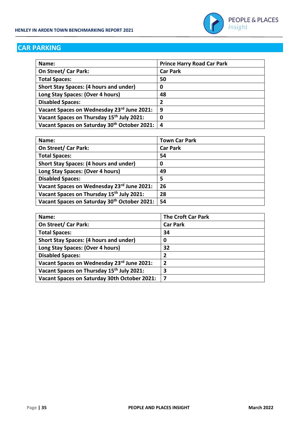

#### **CAR PARKING**

| Name:                                         | <b>Prince Harry Road Car Park</b> |
|-----------------------------------------------|-----------------------------------|
| On Street/ Car Park:                          | <b>Car Park</b>                   |
| <b>Total Spaces:</b>                          | 50                                |
| <b>Short Stay Spaces: (4 hours and under)</b> | 0                                 |
| Long Stay Spaces: (Over 4 hours)              | 48                                |
| <b>Disabled Spaces:</b>                       | 2                                 |
| Vacant Spaces on Wednesday 23rd June 2021:    | 9                                 |
| Vacant Spaces on Thursday 15th July 2021:     | 0                                 |
| Vacant Spaces on Saturday 30th October 2021:  | $\boldsymbol{4}$                  |

| Name:                                         | <b>Town Car Park</b> |
|-----------------------------------------------|----------------------|
| On Street/ Car Park:                          | <b>Car Park</b>      |
| <b>Total Spaces:</b>                          | 54                   |
| <b>Short Stay Spaces: (4 hours and under)</b> | 0                    |
| Long Stay Spaces: (Over 4 hours)              | 49                   |
| <b>Disabled Spaces:</b>                       | 5                    |
| Vacant Spaces on Wednesday 23rd June 2021:    | 26                   |
| Vacant Spaces on Thursday 15th July 2021:     | 28                   |
| Vacant Spaces on Saturday 30th October 2021:  | 54                   |

| Name:                                                 | <b>The Croft Car Park</b> |
|-------------------------------------------------------|---------------------------|
| On Street/ Car Park:                                  | <b>Car Park</b>           |
| <b>Total Spaces:</b>                                  | 34                        |
| <b>Short Stay Spaces: (4 hours and under)</b>         | 0                         |
| Long Stay Spaces: (Over 4 hours)                      | 32                        |
| <b>Disabled Spaces:</b>                               | 2                         |
| Vacant Spaces on Wednesday 23rd June 2021:            | 2                         |
| Vacant Spaces on Thursday 15 <sup>th</sup> July 2021: | 3                         |
| Vacant Spaces on Saturday 30th October 2021:          | 7                         |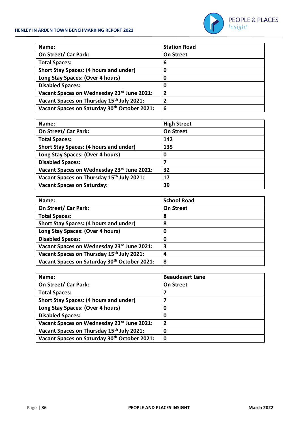

| Name:                                                 | <b>Station Road</b> |
|-------------------------------------------------------|---------------------|
| On Street/ Car Park:                                  | <b>On Street</b>    |
| <b>Total Spaces:</b>                                  | 6                   |
| <b>Short Stay Spaces: (4 hours and under)</b>         | 6                   |
| Long Stay Spaces: (Over 4 hours)                      | 0                   |
| <b>Disabled Spaces:</b>                               | 0                   |
| Vacant Spaces on Wednesday 23rd June 2021:            | 2                   |
| Vacant Spaces on Thursday 15 <sup>th</sup> July 2021: | 2                   |
| Vacant Spaces on Saturday 30th October 2021:          | 6                   |

| Name:                                         | <b>High Street</b> |
|-----------------------------------------------|--------------------|
| On Street/ Car Park:                          | <b>On Street</b>   |
| <b>Total Spaces:</b>                          | 142                |
| <b>Short Stay Spaces: (4 hours and under)</b> | 135                |
| Long Stay Spaces: (Over 4 hours)              | 0                  |
| <b>Disabled Spaces:</b>                       | 7                  |
| Vacant Spaces on Wednesday 23rd June 2021:    | 32                 |
| Vacant Spaces on Thursday 15th July 2021:     | 17                 |
| <b>Vacant Spaces on Saturday:</b>             | 39                 |

| Name:                                         | <b>School Road</b> |
|-----------------------------------------------|--------------------|
| On Street/ Car Park:                          | <b>On Street</b>   |
| <b>Total Spaces:</b>                          | 8                  |
| <b>Short Stay Spaces: (4 hours and under)</b> | 8                  |
| Long Stay Spaces: (Over 4 hours)              | 0                  |
| <b>Disabled Spaces:</b>                       | 0                  |
| Vacant Spaces on Wednesday 23rd June 2021:    | 3                  |
| Vacant Spaces on Thursday 15th July 2021:     | 4                  |
| Vacant Spaces on Saturday 30th October 2021:  | 8                  |

| Name:                                                 | <b>Beaudesert Lane</b> |
|-------------------------------------------------------|------------------------|
| On Street/ Car Park:                                  | <b>On Street</b>       |
| <b>Total Spaces:</b>                                  | 7                      |
| <b>Short Stay Spaces: (4 hours and under)</b>         | 7                      |
| Long Stay Spaces: (Over 4 hours)                      | 0                      |
| <b>Disabled Spaces:</b>                               | 0                      |
| Vacant Spaces on Wednesday 23rd June 2021:            | $\overline{2}$         |
| Vacant Spaces on Thursday 15 <sup>th</sup> July 2021: | 0                      |
| Vacant Spaces on Saturday 30th October 2021:          | $\boldsymbol{0}$       |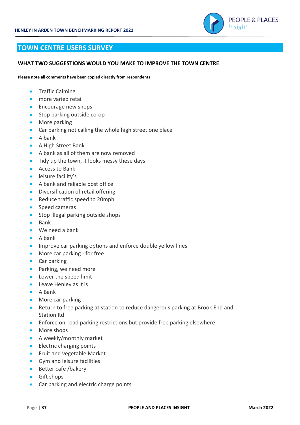

#### **TOWN CENTRE USERS SURVEY**

#### **WHAT TWO SUGGESTIONS WOULD YOU MAKE TO IMPROVE THE TOWN CENTRE**

**Please note all comments have been copied directly from respondents**

- **•** Traffic Calming
- more varied retail
- Encourage new shops
- Stop parking outside co-op
- More parking
- Car parking not calling the whole high street one place
- A bank
- A High Street Bank
- A bank as all of them are now removed
- Tidy up the town, it looks messy these days
- Access to Bank
- leisure facility's
- A bank and reliable post office
- Diversification of retail offering
- Reduce traffic speed to 20mph
- Speed cameras
- Stop illegal parking outside shops
- Bank
- We need a bank
- A bank
- Improve car parking options and enforce double yellow lines
- More car parking for free
- Car parking
- Parking, we need more
- Lower the speed limit
- Leave Henley as it is
- A Bank
- More car parking
- Return to free parking at station to reduce dangerous parking at Brook End and Station Rd
- Enforce on-road parking restrictions but provide free parking elsewhere
- More shops
- A weekly/monthly market
- Electric charging points
- Fruit and vegetable Market
- Gym and leisure facilities
- Better cafe /bakery
- Gift shops
- Car parking and electric charge points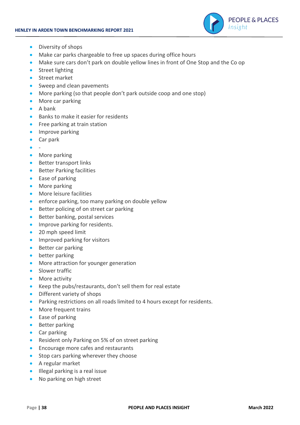

- Diversity of shops
- Make car parks chargeable to free up spaces during office hours
- Make sure cars don't park on double yellow lines in front of One Stop and the Co op
- Street lighting
- Street market
- Sweep and clean pavements
- More parking (so that people don't park outside coop and one stop)
- More car parking
- A bank
- Banks to make it easier for residents
- Free parking at train station
- **•** Improve parking
- Car park
- -
- More parking
- Better transport links
- Better Parking facilities
- Ease of parking
- More parking
- More leisure facilities
- enforce parking, too many parking on double yellow
- Better policing of on street car parking
- Better banking, postal services
- Improve parking for residents.
- 20 mph speed limit
- Improved parking for visitors
- Better car parking
- better parking
- More attraction for younger generation
- Slower traffic
- More activity
- Keep the pubs/restaurants, don't sell them for real estate
- Different variety of shops
- Parking restrictions on all roads limited to 4 hours except for residents.
- More frequent trains
- Ease of parking
- Better parking
- Car parking
- Resident only Parking on 5% of on street parking
- Encourage more cafes and restaurants
- Stop cars parking wherever they choose
- A regular market
- Illegal parking is a real issue
- No parking on high street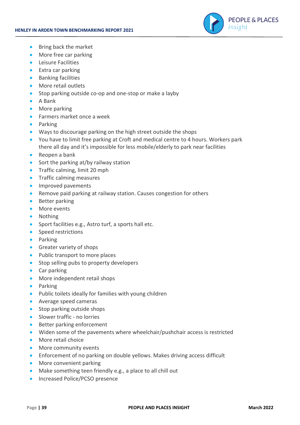

- Bring back the market
- More free car parking
- Leisure Facilities
- Extra car parking
- Banking facilities
- More retail outlets
- Stop parking outside co-op and one-stop or make a layby
- A Bank
- More parking
- Farmers market once a week
- Parking
- Ways to discourage parking on the high street outside the shops
- You have to limit free parking at Croft and medical centre to 4 hours. Workers park there all day and it's impossible for less mobile/elderly to park near facilities
- Reopen a bank
- Sort the parking at/by railway station
- Traffic calming, limit 20 mph
- Traffic calming measures
- Improved pavements
- Remove paid parking at railway station. Causes congestion for others
- Better parking
- More events
- Nothing
- Sport facilities e.g., Astro turf, a sports hall etc.
- Speed restrictions
- Parking
- Greater variety of shops
- Public transport to more places
- Stop selling pubs to property developers
- Car parking
- More independent retail shops
- Parking
- Public toilets ideally for families with young children
- Average speed cameras
- Stop parking outside shops
- Slower traffic no lorries
- Better parking enforcement
- Widen some of the pavements where wheelchair/pushchair access is restricted
- More retail choice
- More community events
- Enforcement of no parking on double yellows. Makes driving access difficult
- More convenient parking
- Make something teen friendly e.g., a place to all chill out
- Increased Police/PCSO presence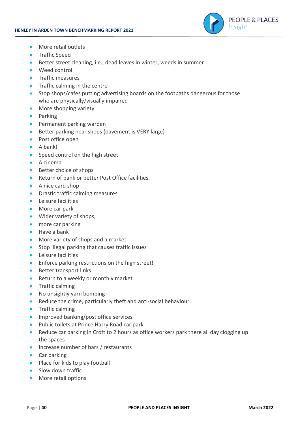

- More retail outlets
- Traffic Speed
- Better street cleaning, i.e., dead leaves in winter, weeds in summer
- Weed control
- Traffic measures
- Traffic calming in the centre
- Stop shops/cafes putting advertising boards on the footpaths dangerous for those who are physically/visually impaired
- More shopping variety
- Parking
- Permanent parking warden
- Better parking near shops (pavement is VERY large)
- Post office open
- A bank!
- Speed control on the high street
- A cinema
- Better choice of shops
- Return of bank or better Post Office facilities.
- A nice card shop
- Drastic traffic calming measures
- Leisure facilities
- More car park
- Wider variety of shops,
- more car parking
- Have a bank
- More variety of shops and a market
- Stop illegal parking that causes traffic issues
- Leisure facilities
- Enforce parking restrictions on the high street!
- Better transport links
- Return to a weekly or monthly market
- Traffic calming
- No unsightly yarn bombing
- Reduce the crime, particularly theft and anti-social behaviour
- Traffic calming
- Improved banking/post office services
- Public toilets at Prince Harry Road car park
- Reduce car parking in Croft to 2 hours as office workers park there all day clogging up the spaces
- Increase number of bars / restaurants
- Car parking
- Place for kids to play football
- Slow down traffic
- More retail options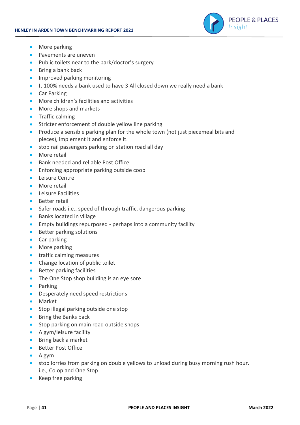

- More parking
- Pavements are uneven
- Public toilets near to the park/doctor's surgery
- Bring a bank back
- Improved parking monitoring
- It 100% needs a bank used to have 3 All closed down we really need a bank
- Car Parking
- More children's facilities and activities
- More shops and markets
- Traffic calming
- Stricter enforcement of double yellow line parking
- Produce a sensible parking plan for the whole town (not just piecemeal bits and pieces), implement it and enforce it.
- stop rail passengers parking on station road all day
- More retail
- Bank needed and reliable Post Office
- Enforcing appropriate parking outside coop
- Leisure Centre
- More retail
- Leisure Facilities
- Better retail
- Safer roads i.e., speed of through traffic, dangerous parking
- Banks located in village
- Empty buildings repurposed perhaps into a community facility
- Better parking solutions
- Car parking
- More parking
- traffic calming measures
- Change location of public toilet
- Better parking facilities
- The One Stop shop building is an eye sore
- Parking
- Desperately need speed restrictions
- Market
- Stop illegal parking outside one stop
- Bring the Banks back
- Stop parking on main road outside shops
- A gym/leisure facility
- Bring back a market
- Better Post Office
- A gym
- stop lorries from parking on double yellows to unload during busy morning rush hour. i.e., Co op and One Stop
- Keep free parking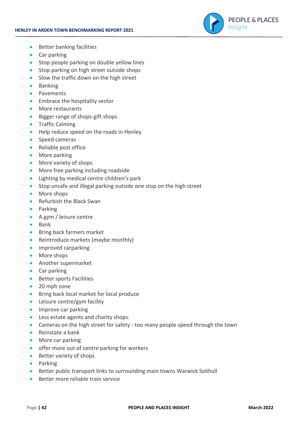

- Better banking facilities
- Car parking
- Stop people parking on double yellow lines
- Stop parking on high street outside shops
- Slow the traffic down on the high street
- Banking
- Pavements
- Embrace the hospitality sector
- More restaurants
- Bigger range of shops-gift shops
- **•** Traffic Calming
- Help reduce speed on the roads in Henley
- Speed cameras
- Reliable post office
- More parking
- More variety of shops
- More free parking including roadside
- Lighting by medical centre children's park
- Stop unsafe and illegal parking outside one stop on the high street
- More shops
- Refurbish the Black Swan
- Parking
- A gym / leisure centre
- Bank
- Bring back farmers market
- Reintroduce markets (maybe monthly)
- improved carparking
- More shops
- Another supermarket
- Car parking
- Better sports Facilities
- 20 mph zone
- Bring back local market for local produce
- Leisure centre/gym facility
- Improve car parking
- Less estate agents and charity shops.
- Cameras on the high street for safety too many people speed through the town
- Reinstate a bank
- More car parking
- offer more out of centre parking for workers
- Better variety of shops
- Parking
- Better public transport links to surrounding main towns Warwick Solihull
- Better more reliable train service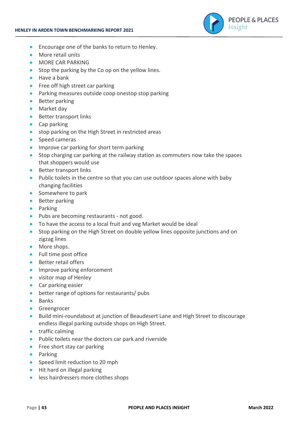

- Encourage one of the banks to return to Henley.
- More retail units
- MORE CAR PARKING
- Stop the parking by the Co op on the yellow lines.
- Have a bank
- Free off high street car parking
- Parking measures outside coop onestop stop parking
- Better parking
- Market day
- Better transport links
- Cap parking
- stop parking on the High Street in restricted areas
- Speed cameras
- Improve car parking for short term parking
- Stop charging car parking at the railway station as commuters now take the spaces that shoppers would use
- Better transport links
- Public toilets in the centre so that you can use outdoor spaces alone with baby changing facilities
- Somewhere to park
- Better parking
- Parking
- Pubs are becoming restaurants not good.
- To have the access to a local fruit and veg Market would be ideal
- Stop parking on the High Street on double yellow lines opposite junctions and on zigzag lines
- More shops.
- Full time post office
- Better retail offers
- Improve parking enforcement
- visitor map of Henley
- Car parking easier
- better range of options for restaurants/ pubs
- Banks
- Greengrocer
- Build mini-roundabout at junction of Beaudesert Lane and High Street to discourage endless illegal parking outside shops on High Street.
- traffic calming
- Public toilets near the doctors car park and riverside
- Free short stay car parking
- Parking
- Speed limit reduction to 20 mph
- Hit hard on illegal parking
- less hairdressers more clothes shops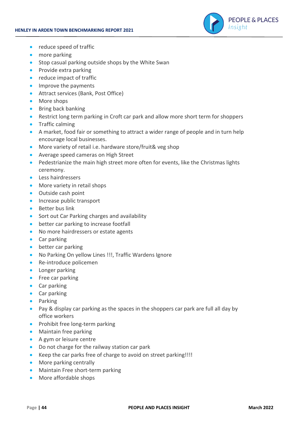

- reduce speed of traffic
- more parking
- Stop casual parking outside shops by the White Swan
- Provide extra parking
- reduce impact of traffic
- Improve the payments
- Attract services (Bank, Post Office)
- More shops
- Bring back banking
- Restrict long term parking in Croft car park and allow more short term for shoppers
- Traffic calming
- A market, food fair or something to attract a wider range of people and in turn help encourage local businesses.
- More variety of retail i.e. hardware store/fruit& veg shop
- Average speed cameras on High Street
- Pedestrianize the main high street more often for events, like the Christmas lights ceremony.
- Less hairdressers
- More variety in retail shops
- Outside cash point
- Increase public transport
- Better bus link
- Sort out Car Parking charges and availability
- better car parking to increase footfall
- No more hairdressers or estate agents
- Car parking
- better car parking
- No Parking On yellow Lines !!!, Traffic Wardens Ignore
- Re-introduce policemen
- Longer parking
- Free car parking
- Car parking
- Car parking
- Parking
- Pay & display car parking as the spaces in the shoppers car park are full all day by office workers
- Prohibit free long-term parking
- Maintain free parking
- A gym or leisure centre
- Do not charge for the railway station car park
- Keep the car parks free of charge to avoid on street parking!!!!
- More parking centrally
- Maintain Free short-term parking
- More affordable shops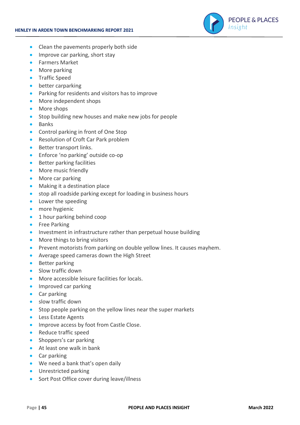

- Clean the pavements properly both side
- Improve car parking, short stay
- Farmers Market
- More parking
- Traffic Speed
- better carparking
- Parking for residents and visitors has to improve
- More independent shops
- More shops
- Stop building new houses and make new jobs for people
- Banks
- Control parking in front of One Stop
- Resolution of Croft Car Park problem
- Better transport links.
- Enforce 'no parking' outside co-op
- Better parking facilities
- More music friendly
- More car parking
- Making it a destination place
- stop all roadside parking except for loading in business hours
- Lower the speeding
- more hygienic
- 1 hour parking behind coop
- Free Parking
- Investment in infrastructure rather than perpetual house building
- More things to bring visitors
- Prevent motorists from parking on double yellow lines. It causes mayhem.
- Average speed cameras down the High Street
- Better parking
- Slow traffic down
- More accessible leisure facilities for locals.
- Improved car parking
- Car parking
- slow traffic down
- Stop people parking on the yellow lines near the super markets
- Less Estate Agents
- Improve access by foot from Castle Close.
- Reduce traffic speed
- Shoppers's car parking
- At least one walk in bank
- Car parking
- We need a bank that's open daily
- Unrestricted parking
- Sort Post Office cover during leave/illness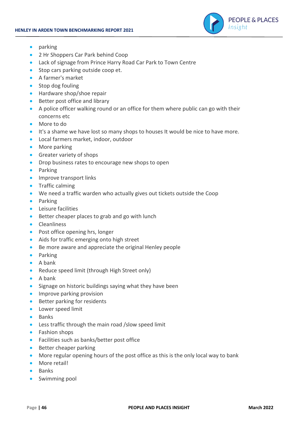

- parking
- 2 Hr Shoppers Car Park behind Coop
- Lack of signage from Prince Harry Road Car Park to Town Centre
- Stop cars parking outside coop et.
- A farmer's market
- Stop dog fouling
- Hardware shop/shoe repair
- Better post office and library
- A police officer walking round or an office for them where public can go with their concerns etc
- More to do
- It's a shame we have lost so many shops to houses It would be nice to have more.
- Local farmers market, indoor, outdoor
- More parking
- Greater variety of shops
- Drop business rates to encourage new shops to open
- Parking
- Improve transport links
- Traffic calming
- We need a traffic warden who actually gives out tickets outside the Coop
- Parking
- Leisure facilities
- Better cheaper places to grab and go with lunch
- Cleanliness
- Post office opening hrs, longer
- Aids for traffic emerging onto high street
- Be more aware and appreciate the original Henley people
- Parking
- A bank
- Reduce speed limit (through High Street only)
- A bank
- Signage on historic buildings saying what they have been
- Improve parking provision
- Better parking for residents
- Lower speed limit
- Banks
- Less traffic through the main road /slow speed limit
- Fashion shops
- Facilities such as banks/better post office
- Better cheaper parking
- More regular opening hours of the post office as this is the only local way to bank
- More retail!
- Banks
- Swimming pool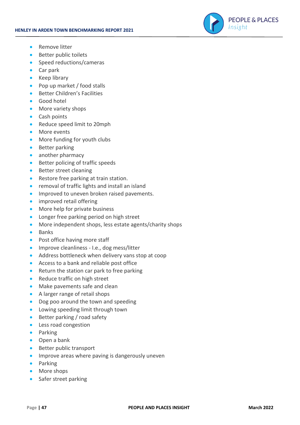

- Remove litter
- Better public toilets
- Speed reductions/cameras
- Car park
- Keep library
- Pop up market / food stalls
- Better Children's Facilities
- Good hotel
- More variety shops
- Cash points
- Reduce speed limit to 20mph
- More events
- More funding for youth clubs
- Better parking
- another pharmacy
- Better policing of traffic speeds
- Better street cleaning
- Restore free parking at train station.
- removal of traffic lights and install an island
- Improved to uneven broken raised pavements.
- improved retail offering
- More help for private business
- Longer free parking period on high street
- More independent shops, less estate agents/charity shops
- Banks
- Post office having more staff
- Improve cleanliness I.e., dog mess/litter
- Address bottleneck when delivery vans stop at coop
- Access to a bank and reliable post office
- Return the station car park to free parking
- Reduce traffic on high street
- Make pavements safe and clean
- A larger range of retail shops
- Dog poo around the town and speeding
- Lowing speeding limit through town
- Better parking / road safety
- Less road congestion
- Parking
- Open a bank
- Better public transport
- Improve areas where paving is dangerously uneven
- Parking
- More shops
- Safer street parking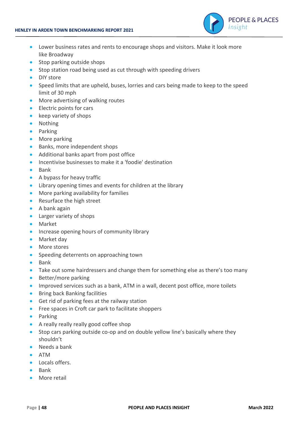

- Lower business rates and rents to encourage shops and visitors. Make it look more like Broadway
- Stop parking outside shops
- Stop station road being used as cut through with speeding drivers
- DIY store
- Speed limits that are upheld, buses, lorries and cars being made to keep to the speed limit of 30 mph
- More advertising of walking routes
- Electric points for cars
- keep variety of shops
- Nothing
- Parking
- More parking
- Banks, more independent shops
- Additional banks apart from post office
- Incentivise businesses to make it a 'foodie' destination
- Bank
- A bypass for heavy traffic
- Library opening times and events for children at the library
- More parking availability for families
- Resurface the high street
- A bank again
- Larger variety of shops
- Market
- Increase opening hours of community library
- Market day
- More stores
- Speeding deterrents on approaching town
- Bank
- Take out some hairdressers and change them for something else as there's too many
- Better/more parking
- Improved services such as a bank, ATM in a wall, decent post office, more toilets
- Bring back Banking facilities
- Get rid of parking fees at the railway station
- Free spaces in Croft car park to facilitate shoppers
- Parking
- A really really really good coffee shop
- Stop cars parking outside co-op and on double yellow line's basically where they shouldn't
- Needs a bank
- ATM
- Locals offers.
- Bank
- More retail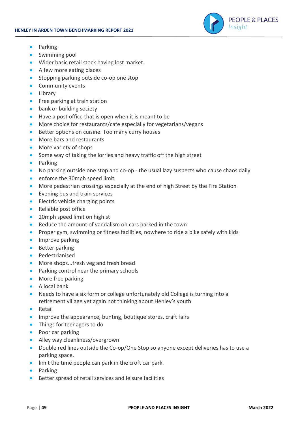

- Parking
- Swimming pool
- Wider basic retail stock having lost market.
- A few more eating places
- Stopping parking outside co-op one stop
- Community events
- Library
- Free parking at train station
- bank or building society
- Have a post office that is open when it is meant to be
- More choice for restaurants/cafe especially for vegetarians/vegans
- Better options on cuisine. Too many curry houses
- More bars and restaurants
- More variety of shops
- Some way of taking the lorries and heavy traffic off the high street
- Parking
- No parking outside one stop and co-op the usual lazy suspects who cause chaos daily
- enforce the 30mph speed limit
- More pedestrian crossings especially at the end of high Street by the Fire Station
- Evening bus and train services
- Electric vehicle charging points
- Reliable post office
- 20mph speed limit on high st
- Reduce the amount of vandalism on cars parked in the town
- Proper gym, swimming or fitness facilities, nowhere to ride a bike safely with kids
- Improve parking
- Better parking
- Pedestrianised
- More shops...fresh veg and fresh bread
- Parking control near the primary schools
- More free parking
- A local bank
- Needs to have a six form or college unfortunately old College is turning into a retirement village yet again not thinking about Henley's youth
- Retail
- Improve the appearance, bunting, boutique stores, craft fairs
- Things for teenagers to do
- Poor car parking
- Alley way cleanliness/overgrown
- Double red lines outside the Co-op/One Stop so anyone except deliveries has to use a parking space.
- limit the time people can park in the croft car park.
- Parking
- Better spread of retail services and leisure facilities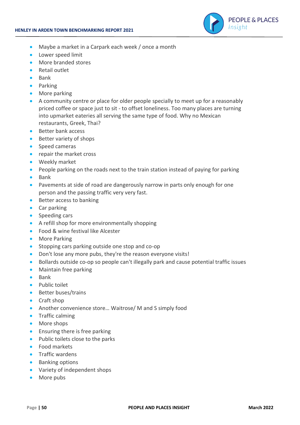

- Maybe a market in a Carpark each week / once a month
- Lower speed limit
- More branded stores
- Retail outlet
- Bank
- Parking
- More parking
- A community centre or place for older people specially to meet up for a reasonably priced coffee or space just to sit - to offset loneliness. Too many places are turning into upmarket eateries all serving the same type of food. Why no Mexican restaurants, Greek, Thai?
- Better bank access
- Better variety of shops
- Speed cameras
- repair the market cross
- Weekly market
- People parking on the roads next to the train station instead of paying for parking
- Bank
- Pavements at side of road are dangerously narrow in parts only enough for one person and the passing traffic very very fast.
- Better access to banking
- Car parking
- Speeding cars
- A refill shop for more environmentally shopping
- Food & wine festival like Alcester
- More Parking
- Stopping cars parking outside one stop and co-op
- Don't lose any more pubs, they're the reason everyone visits!
- Bollards outside co-op so people can't illegally park and cause potential traffic issues
- Maintain free parking
- Bank
- Public toilet
- Better buses/trains
- Craft shop
- Another convenience store... Waitrose/M and S simply food
- Traffic calming
- More shops
- Ensuring there is free parking
- Public toilets close to the parks
- Food markets
- Traffic wardens
- Banking options
- Variety of independent shops
- More pubs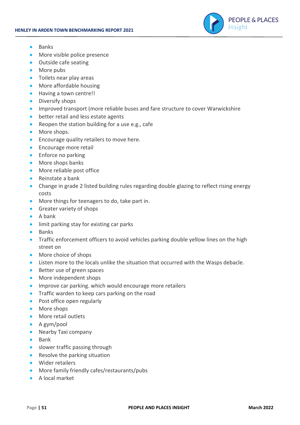

- Banks
- More visible police presence
- Outside cafe seating
- More pubs
- Toilets near play areas
- More affordable housing
- Having a town centre!!
- Diversify shops
- Improved transport (more reliable buses and fare structure to cover Warwickshire
- better retail and less estate agents
- Reopen the station building for a use e.g., cafe
- More shops.
- Encourage quality retailers to move here.
- Encourage more retail
- Enforce no parking
- More shops banks
- More reliable post office
- Reinstate a bank
- Change in grade 2 listed building rules regarding double glazing to reflect rising energy costs
- More things for teenagers to do, take part in.
- Greater variety of shops
- A bank
- limit parking stay for existing car parks
- Banks
- Traffic enforcement officers to avoid vehicles parking double yellow lines on the high street on
- More choice of shops
- Listen more to the locals unlike the situation that occurred with the Wasps debacle.
- Better use of green spaces
- More independent shops
- Improve car parking. which would encourage more retailers
- Traffic warden to keep cars parking on the road
- Post office open regularly
- More shops
- More retail outlets
- A gym/pool
- Nearby Taxi company
- Bank
- slower traffic passing through
- Resolve the parking situation
- Wider retailers
- More family friendly cafes/restaurants/pubs
- A local market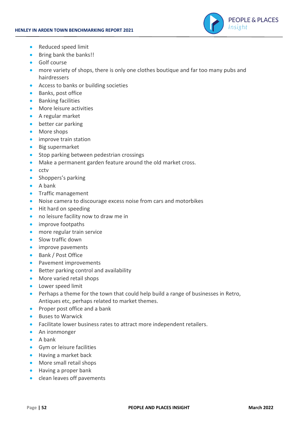

- Reduced speed limit
- Bring bank the banks!!
- Golf course
- more variety of shops, there is only one clothes boutique and far too many pubs and hairdressers
- Access to banks or building societies
- Banks, post office
- Banking facilities
- More leisure activities
- A regular market
- better car parking
- More shops
- improve train station
- Big supermarket
- Stop parking between pedestrian crossings
- Make a permanent garden feature around the old market cross.
- cctv
- Shoppers's parking
- A bank
- **•** Traffic management
- Noise camera to discourage excess noise from cars and motorbikes
- Hit hard on speeding
- no leisure facility now to draw me in
- improve footpaths
- more regular train service
- Slow traffic down
- improve pavements
- Bank / Post Office
- Pavement improvements
- Better parking control and availability
- More varied retail shops
- Lower speed limit
- Perhaps a theme for the town that could help build a range of businesses in Retro, Antiques etc, perhaps related to market themes.
- Proper post office and a bank
- Buses to Warwick
- Facilitate lower business rates to attract more independent retailers.
- An ironmonger
- A bank
- Gym or leisure facilities
- Having a market back
- More small retail shops
- Having a proper bank
- clean leaves off pavements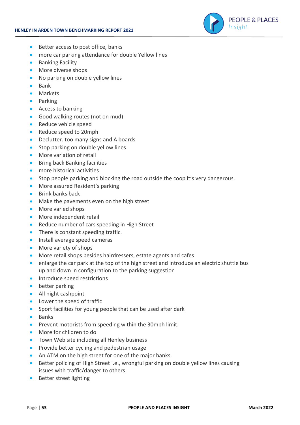

- Better access to post office, banks
- more car parking attendance for double Yellow lines
- Banking Facility
- More diverse shops
- No parking on double yellow lines
- Bank
- Markets
- Parking
- Access to banking
- Good walking routes (not on mud)
- Reduce vehicle speed
- Reduce speed to 20mph
- Declutter. too many signs and A boards
- Stop parking on double yellow lines
- More variation of retail
- Bring back Banking facilities
- more historical activities
- Stop people parking and blocking the road outside the coop it's very dangerous.
- More assured Resident's parking
- Brink banks back
- Make the pavements even on the high street
- More varied shops
- More independent retail
- Reduce number of cars speeding in High Street
- There is constant speeding traffic.
- Install average speed cameras
- More variety of shops
- More retail shops besides hairdressers, estate agents and cafes
- enlarge the car park at the top of the high street and introduce an electric shuttle bus up and down in configuration to the parking suggestion
- Introduce speed restrictions
- better parking
- All night cashpoint
- Lower the speed of traffic
- Sport facilities for young people that can be used after dark
- Banks
- Prevent motorists from speeding within the 30mph limit.
- More for children to do
- Town Web site including all Henley business
- Provide better cycling and pedestrian usage
- An ATM on the high street for one of the major banks.
- Better policing of High Street i.e., wrongful parking on double yellow lines causing issues with traffic/danger to others
- Better street lighting